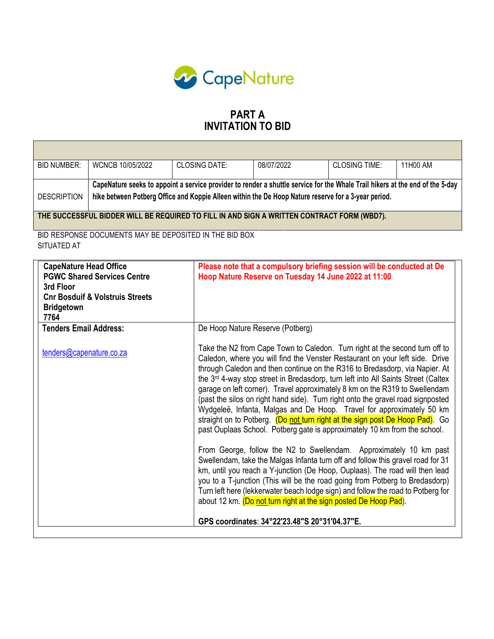

Г

# PART A INVITATION TO BID

a l

| <b>BID NUMBER:</b>                                                      | WCNCB 10/05/2022                                                                                                                                                                                                                      | <b>CLOSING DATE:</b> |                                                                                                                                                                                                                                                                                                                                                                                                                                                                                                                                                                                                                                                                                                                                                     | <b>CLOSING TIME:</b>                                                                                                                                                                                                                                                                                                                                                                                                                                                          | 11H00 AM |  |  |
|-------------------------------------------------------------------------|---------------------------------------------------------------------------------------------------------------------------------------------------------------------------------------------------------------------------------------|----------------------|-----------------------------------------------------------------------------------------------------------------------------------------------------------------------------------------------------------------------------------------------------------------------------------------------------------------------------------------------------------------------------------------------------------------------------------------------------------------------------------------------------------------------------------------------------------------------------------------------------------------------------------------------------------------------------------------------------------------------------------------------------|-------------------------------------------------------------------------------------------------------------------------------------------------------------------------------------------------------------------------------------------------------------------------------------------------------------------------------------------------------------------------------------------------------------------------------------------------------------------------------|----------|--|--|
| <b>DESCRIPTION</b>                                                      | CapeNature seeks to appoint a service provider to render a shuttle service for the Whale Trail hikers at the end of the 5-day<br>hike between Potberg Office and Koppie Alleen within the De Hoop Nature reserve for a 3-year period. |                      |                                                                                                                                                                                                                                                                                                                                                                                                                                                                                                                                                                                                                                                                                                                                                     |                                                                                                                                                                                                                                                                                                                                                                                                                                                                               |          |  |  |
|                                                                         | THE SUCCESSFUL BIDDER WILL BE REQUIRED TO FILL IN AND SIGN A WRITTEN CONTRACT FORM (WBD7).                                                                                                                                            |                      |                                                                                                                                                                                                                                                                                                                                                                                                                                                                                                                                                                                                                                                                                                                                                     |                                                                                                                                                                                                                                                                                                                                                                                                                                                                               |          |  |  |
| SITUATED AT                                                             | BID RESPONSE DOCUMENTS MAY BE DEPOSITED IN THE BID BOX                                                                                                                                                                                |                      |                                                                                                                                                                                                                                                                                                                                                                                                                                                                                                                                                                                                                                                                                                                                                     |                                                                                                                                                                                                                                                                                                                                                                                                                                                                               |          |  |  |
| <b>CapeNature Head Office</b><br>3rd Floor<br><b>Bridgetown</b><br>7764 | <b>PGWC Shared Services Centre</b><br><b>Cnr Bosduif &amp; Volstruis Streets</b>                                                                                                                                                      |                      |                                                                                                                                                                                                                                                                                                                                                                                                                                                                                                                                                                                                                                                                                                                                                     | Please note that a compulsory briefing session will be conducted at De<br>Hoop Nature Reserve on Tuesday 14 June 2022 at 11:00                                                                                                                                                                                                                                                                                                                                                |          |  |  |
| <b>Tenders Email Address:</b>                                           |                                                                                                                                                                                                                                       |                      | De Hoop Nature Reserve (Potberg)                                                                                                                                                                                                                                                                                                                                                                                                                                                                                                                                                                                                                                                                                                                    |                                                                                                                                                                                                                                                                                                                                                                                                                                                                               |          |  |  |
| tenders@capenature.co.za                                                |                                                                                                                                                                                                                                       |                      | Take the N2 from Cape Town to Caledon. Turn right at the second turn off to<br>Caledon, where you will find the Venster Restaurant on your left side. Drive<br>through Caledon and then continue on the R316 to Bredasdorp, via Napier. At<br>the 3 <sup>rd</sup> 4-way stop street in Bredasdorp, turn left into All Saints Street (Caltex<br>garage on left corner). Travel approximately 8 km on the R319 to Swellendam<br>(past the silos on right hand side). Turn right onto the gravel road signposted<br>Wydgeleë, Infanta, Malgas and De Hoop. Travel for approximately 50 km<br>straight on to Potberg. (Do not turn right at the sign post De Hoop Pad). Go<br>past Ouplaas School. Potberg gate is approximately 10 km from the school. |                                                                                                                                                                                                                                                                                                                                                                                                                                                                               |          |  |  |
|                                                                         |                                                                                                                                                                                                                                       |                      |                                                                                                                                                                                                                                                                                                                                                                                                                                                                                                                                                                                                                                                                                                                                                     | From George, follow the N2 to Swellendam. Approximately 10 km past<br>Swellendam, take the Malgas Infanta turn off and follow this gravel road for 31<br>km, until you reach a Y-junction (De Hoop, Ouplaas). The road will then lead<br>you to a T-junction (This will be the road going from Potberg to Bredasdorp)<br>Turn left here (lekkerwater beach lodge sign) and follow the road to Potberg for<br>about 12 km. (Do not turn right at the sign posted De Hoop Pad). |          |  |  |
|                                                                         |                                                                                                                                                                                                                                       |                      | GPS coordinates: 34°22'23.48"S 20°31'04.37"E.                                                                                                                                                                                                                                                                                                                                                                                                                                                                                                                                                                                                                                                                                                       |                                                                                                                                                                                                                                                                                                                                                                                                                                                                               |          |  |  |
|                                                                         |                                                                                                                                                                                                                                       |                      |                                                                                                                                                                                                                                                                                                                                                                                                                                                                                                                                                                                                                                                                                                                                                     |                                                                                                                                                                                                                                                                                                                                                                                                                                                                               |          |  |  |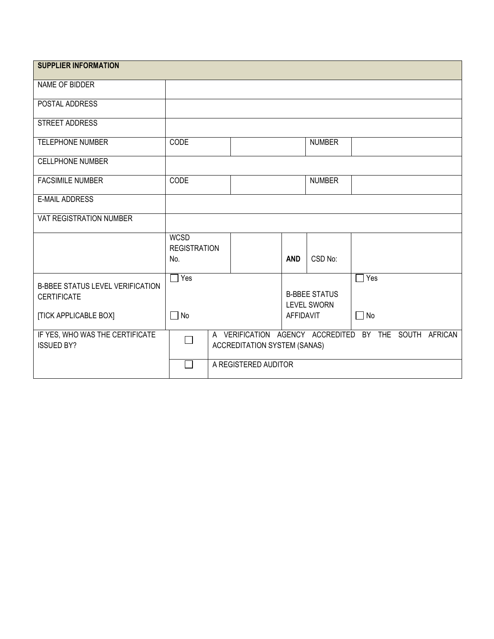| <b>SUPPLIER INFORMATION</b>                                                            |                                           |                                                                                       |                  |                                            |                  |  |
|----------------------------------------------------------------------------------------|-------------------------------------------|---------------------------------------------------------------------------------------|------------------|--------------------------------------------|------------------|--|
| NAME OF BIDDER                                                                         |                                           |                                                                                       |                  |                                            |                  |  |
| POSTAL ADDRESS                                                                         |                                           |                                                                                       |                  |                                            |                  |  |
| STREET ADDRESS                                                                         |                                           |                                                                                       |                  |                                            |                  |  |
| <b>TELEPHONE NUMBER</b>                                                                | CODE                                      |                                                                                       |                  | <b>NUMBER</b>                              |                  |  |
| <b>CELLPHONE NUMBER</b>                                                                |                                           |                                                                                       |                  |                                            |                  |  |
| <b>FACSIMILE NUMBER</b>                                                                | <b>CODE</b>                               |                                                                                       |                  | <b>NUMBER</b>                              |                  |  |
| <b>E-MAIL ADDRESS</b>                                                                  |                                           |                                                                                       |                  |                                            |                  |  |
| VAT REGISTRATION NUMBER                                                                |                                           |                                                                                       |                  |                                            |                  |  |
|                                                                                        | <b>WCSD</b><br><b>REGISTRATION</b><br>No. |                                                                                       | <b>AND</b>       | CSD No:                                    |                  |  |
| <b>B-BBEE STATUS LEVEL VERIFICATION</b><br><b>CERTIFICATE</b><br>[TICK APPLICABLE BOX] | $\Box$ Yes<br>No<br>$\mathbb{R}^n$        |                                                                                       | <b>AFFIDAVIT</b> | <b>B-BBEE STATUS</b><br><b>LEVEL SWORN</b> | Yes<br>$\Box$ No |  |
| IF YES, WHO WAS THE CERTIFICATE<br><b>ISSUED BY?</b>                                   | $\mathbf{L}$                              | A VERIFICATION AGENCY ACCREDITED BY THE SOUTH AFRICAN<br>ACCREDITATION SYSTEM (SANAS) |                  |                                            |                  |  |
|                                                                                        |                                           | A REGISTERED AUDITOR                                                                  |                  |                                            |                  |  |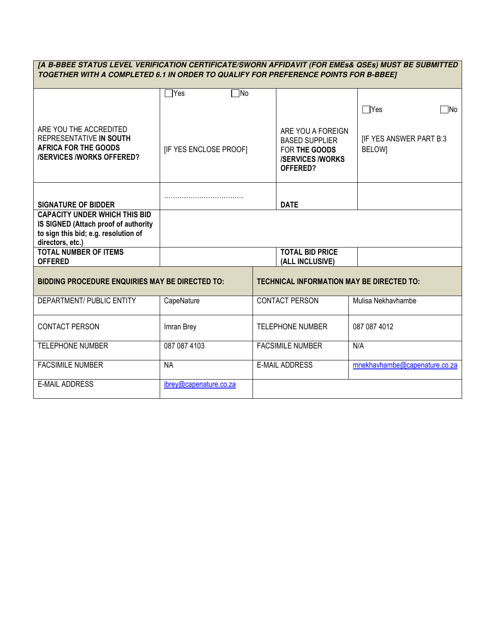| [A B-BBEE STATUS LEVEL VERIFICATION CERTIFICATE/SWORN AFFIDAVIT (FOR EMEs& QSEs) MUST BE SUBMITTED<br>TOGETHER WITH A COMPLETED 6.1 IN ORDER TO QUALIFY FOR PREFERENCE POINTS FOR B-BBEE] |                              |  |                                                                                                   |                                                |  |  |  |
|-------------------------------------------------------------------------------------------------------------------------------------------------------------------------------------------|------------------------------|--|---------------------------------------------------------------------------------------------------|------------------------------------------------|--|--|--|
|                                                                                                                                                                                           | $\sqsupset$ Yes<br>$\neg$ No |  |                                                                                                   |                                                |  |  |  |
|                                                                                                                                                                                           |                              |  |                                                                                                   | $\Box$ Yes<br>$\neg$ No                        |  |  |  |
| ARE YOU THE ACCREDITED<br>REPRESENTATIVE IN SOUTH<br><b>AFRICA FOR THE GOODS</b><br><b>/SERVICES /WORKS OFFERED?</b>                                                                      | <b>IF YES ENCLOSE PROOFI</b> |  | ARE YOU A FOREIGN<br><b>BASED SUPPLIER</b><br>FOR THE GOODS<br><b>/SERVICES/WORKS</b><br>OFFERED? | <b>IF YES ANSWER PART B:3</b><br><b>BELOWI</b> |  |  |  |
| <b>SIGNATURE OF BIDDER</b>                                                                                                                                                                |                              |  | <b>DATE</b>                                                                                       |                                                |  |  |  |
| <b>CAPACITY UNDER WHICH THIS BID</b><br>IS SIGNED (Attach proof of authority<br>to sign this bid; e.g. resolution of<br>directors, etc.)                                                  |                              |  |                                                                                                   |                                                |  |  |  |
| <b>TOTAL NUMBER OF ITEMS</b><br><b>OFFERED</b>                                                                                                                                            |                              |  | <b>TOTAL BID PRICE</b><br>(ALL INCLUSIVE)                                                         |                                                |  |  |  |
| <b>BIDDING PROCEDURE ENQUIRIES MAY BE DIRECTED TO:</b>                                                                                                                                    |                              |  | <b>TECHNICAL INFORMATION MAY BE DIRECTED TO:</b>                                                  |                                                |  |  |  |
| <b>DEPARTMENT/ PUBLIC ENTITY</b>                                                                                                                                                          | CapeNature                   |  | <b>CONTACT PERSON</b>                                                                             | Mulisa Nekhavhambe                             |  |  |  |
| <b>CONTACT PERSON</b>                                                                                                                                                                     | Imran Brey                   |  | <b>TELEPHONE NUMBER</b>                                                                           | 087 087 4012                                   |  |  |  |
| <b>TELEPHONE NUMBER</b>                                                                                                                                                                   | 087 087 4103                 |  | <b>FACSIMILE NUMBER</b>                                                                           | N/A                                            |  |  |  |
| <b>FACSIMILE NUMBER</b>                                                                                                                                                                   | <b>NA</b>                    |  | <b>E-MAIL ADDRESS</b>                                                                             | mnekhavhambe@capenature.co.za                  |  |  |  |
| <b>E-MAIL ADDRESS</b>                                                                                                                                                                     | ibrey@capenature.co.za       |  |                                                                                                   |                                                |  |  |  |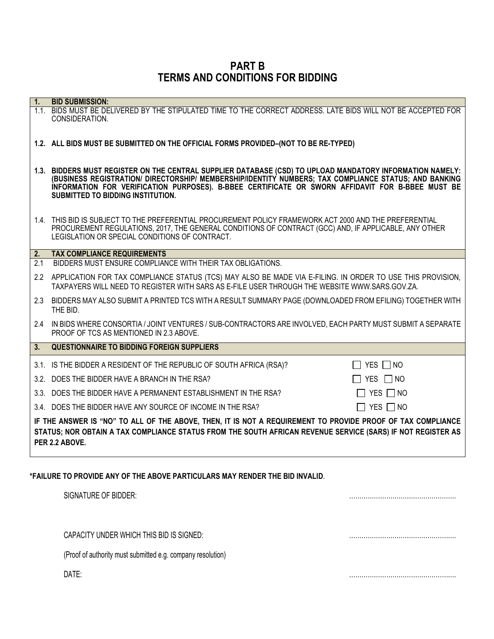PART B TERMS AND CONDITIONS FOR BIDDING

| 1 <sub>1</sub>   | <b>BID SUBMISSION:</b>                                                                                                                                                                                                                                                                                                                                      |  |  |  |  |
|------------------|-------------------------------------------------------------------------------------------------------------------------------------------------------------------------------------------------------------------------------------------------------------------------------------------------------------------------------------------------------------|--|--|--|--|
|                  | 1.1. BIDS MUST BE DELIVERED BY THE STIPULATED TIME TO THE CORRECT ADDRESS. LATE BIDS WILL NOT BE ACCEPTED FOR<br>CONSIDERATION.                                                                                                                                                                                                                             |  |  |  |  |
|                  | 1.2. ALL BIDS MUST BE SUBMITTED ON THE OFFICIAL FORMS PROVIDED-(NOT TO BE RE-TYPED)                                                                                                                                                                                                                                                                         |  |  |  |  |
|                  | 1.3. BIDDERS MUST REGISTER ON THE CENTRAL SUPPLIER DATABASE (CSD) TO UPLOAD MANDATORY INFORMATION NAMELY:<br>(BUSINESS REGISTRATION/ DIRECTORSHIP/ MEMBERSHIP/IDENTITY NUMBERS; TAX COMPLIANCE STATUS; AND BANKING<br>INFORMATION FOR VERIFICATION PURPOSES). B-BBEE CERTIFICATE OR SWORN AFFIDAVIT FOR B-BBEE MUST BE<br>SUBMITTED TO BIDDING INSTITUTION. |  |  |  |  |
|                  | 1.4. THIS BID IS SUBJECT TO THE PREFERENTIAL PROCUREMENT POLICY FRAMEWORK ACT 2000 AND THE PREFERENTIAL<br>PROCUREMENT REGULATIONS, 2017, THE GENERAL CONDITIONS OF CONTRACT (GCC) AND, IF APPLICABLE, ANY OTHER<br>LEGISLATION OR SPECIAL CONDITIONS OF CONTRACT.                                                                                          |  |  |  |  |
| $\overline{2}$ . | <b>TAX COMPLIANCE REQUIREMENTS</b>                                                                                                                                                                                                                                                                                                                          |  |  |  |  |
| 2.1              | BIDDERS MUST ENSURE COMPLIANCE WITH THEIR TAX OBLIGATIONS.                                                                                                                                                                                                                                                                                                  |  |  |  |  |
|                  | 2.2 APPLICATION FOR TAX COMPLIANCE STATUS (TCS) MAY ALSO BE MADE VIA E-FILING. IN ORDER TO USE THIS PROVISION,<br>TAXPAYERS WILL NEED TO REGISTER WITH SARS AS E-FILE USER THROUGH THE WEBSITE WWW.SARS.GOV.ZA.                                                                                                                                             |  |  |  |  |
| 2.3              | BIDDERS MAY ALSO SUBMIT A PRINTED TCS WITH A RESULT SUMMARY PAGE (DOWNLOADED FROM EFILING) TOGETHER WITH<br>THE BID.                                                                                                                                                                                                                                        |  |  |  |  |
| 2.4              | IN BIDS WHERE CONSORTIA / JOINT VENTURES / SUB-CONTRACTORS ARE INVOLVED, EACH PARTY MUST SUBMIT A SEPARATE<br>PROOF OF TCS AS MENTIONED IN 2.3 ABOVE.                                                                                                                                                                                                       |  |  |  |  |
| 3.               | <b>QUESTIONNAIRE TO BIDDING FOREIGN SUPPLIERS</b>                                                                                                                                                                                                                                                                                                           |  |  |  |  |
|                  | 3.1. IS THE BIDDER A RESIDENT OF THE REPUBLIC OF SOUTH AFRICA (RSA)?<br>$\Box$ YES $\Box$ NO                                                                                                                                                                                                                                                                |  |  |  |  |
|                  | 3.2. DOES THE BIDDER HAVE A BRANCH IN THE RSA?<br>$\Box$ YES $\Box$ NO                                                                                                                                                                                                                                                                                      |  |  |  |  |
|                  | 3.3. DOES THE BIDDER HAVE A PERMANENT ESTABLISHMENT IN THE RSA?<br>$\Box$ YES $\Box$ NO                                                                                                                                                                                                                                                                     |  |  |  |  |
|                  | 3.4. DOES THE BIDDER HAVE ANY SOURCE OF INCOME IN THE RSA?<br>$\Box$ YES $\Box$ NO                                                                                                                                                                                                                                                                          |  |  |  |  |
|                  | IF THE ANSWER IS "NO" TO ALL OF THE ABOVE, THEN, IT IS NOT A REQUIREMENT TO PROVIDE PROOF OF TAX COMPLIANCE<br>STATUS; NOR OBTAIN A TAX COMPLIANCE STATUS FROM THE SOUTH AFRICAN REVENUE SERVICE (SARS) IF NOT REGISTER AS<br>PER 2.2 ABOVE.                                                                                                                |  |  |  |  |
|                  | *FAILURE TO PROVIDE ANY OF THE ABOVE PARTICULARS MAY RENDER THE BID INVALID.<br>SIGNATURE OF BIDDER:                                                                                                                                                                                                                                                        |  |  |  |  |

CAPACITY UNDER WHICH THIS BID IS SIGNED: …………………………………………….

(Proof of authority must submitted e.g. company resolution)

DATE: …………………………………………….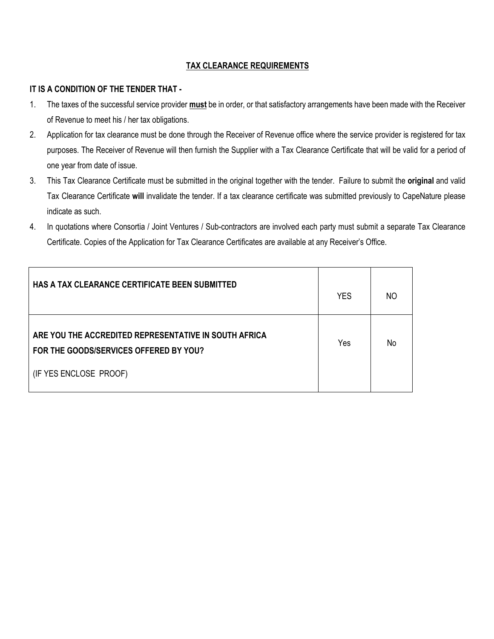# TAX CLEARANCE REQUIREMENTS

# IT IS A CONDITION OF THE TENDER THAT -

- 1. The taxes of the successful service provider **must** be in order, or that satisfactory arrangements have been made with the Receiver of Revenue to meet his / her tax obligations.
- 2. Application for tax clearance must be done through the Receiver of Revenue office where the service provider is registered for tax purposes. The Receiver of Revenue will then furnish the Supplier with a Tax Clearance Certificate that will be valid for a period of one year from date of issue.
- 3. This Tax Clearance Certificate must be submitted in the original together with the tender. Failure to submit the original and valid Tax Clearance Certificate will invalidate the tender. If a tax clearance certificate was submitted previously to CapeNature please indicate as such.
- 4. In quotations where Consortia / Joint Ventures / Sub-contractors are involved each party must submit a separate Tax Clearance Certificate. Copies of the Application for Tax Clearance Certificates are available at any Receiver's Office.

| <b>HAS A TAX CLEARANCE CERTIFICATE BEEN SUBMITTED</b>                                           | <b>YES</b> | NO. |
|-------------------------------------------------------------------------------------------------|------------|-----|
| ARE YOU THE ACCREDITED REPRESENTATIVE IN SOUTH AFRICA<br>FOR THE GOODS/SERVICES OFFERED BY YOU? | Yes        | No  |
| (IF YES ENCLOSE PROOF)                                                                          |            |     |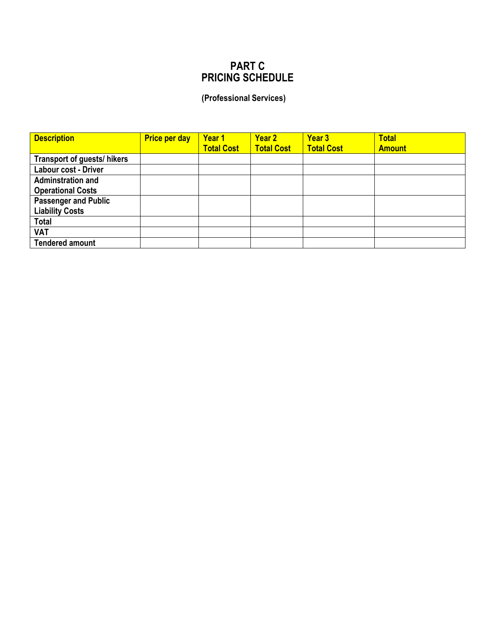# PART C PRICING SCHEDULE

# (Professional Services)

| <b>Description</b>          | <b>Price per day</b> | Year 1<br><b>Total Cost</b> | Year 2<br><b>Total Cost</b> | Year 3<br><b>Total Cost</b> | <b>Total</b><br><b>Amount</b> |
|-----------------------------|----------------------|-----------------------------|-----------------------------|-----------------------------|-------------------------------|
| Transport of guests/ hikers |                      |                             |                             |                             |                               |
| Labour cost - Driver        |                      |                             |                             |                             |                               |
| <b>Adminstration and</b>    |                      |                             |                             |                             |                               |
| <b>Operational Costs</b>    |                      |                             |                             |                             |                               |
| <b>Passenger and Public</b> |                      |                             |                             |                             |                               |
| <b>Liability Costs</b>      |                      |                             |                             |                             |                               |
| <b>Total</b>                |                      |                             |                             |                             |                               |
| <b>VAT</b>                  |                      |                             |                             |                             |                               |
| <b>Tendered amount</b>      |                      |                             |                             |                             |                               |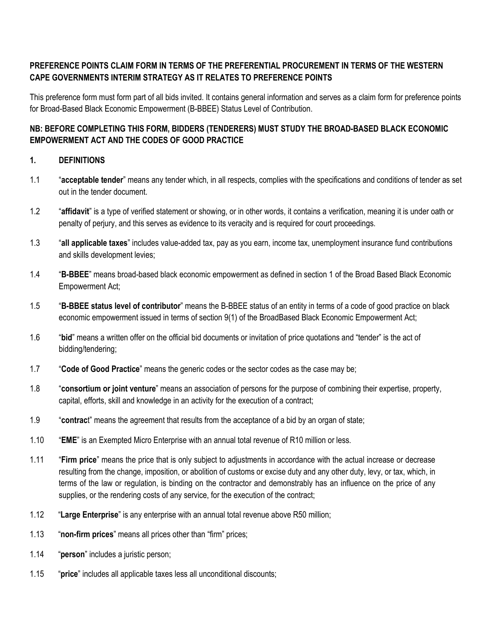# PREFERENCE POINTS CLAIM FORM IN TERMS OF THE PREFERENTIAL PROCUREMENT IN TERMS OF THE WESTERN CAPE GOVERNMENTS INTERIM STRATEGY AS IT RELATES TO PREFERENCE POINTS

This preference form must form part of all bids invited. It contains general information and serves as a claim form for preference points for Broad-Based Black Economic Empowerment (B-BBEE) Status Level of Contribution.

# NB: BEFORE COMPLETING THIS FORM, BIDDERS (TENDERERS) MUST STUDY THE BROAD-BASED BLACK ECONOMIC EMPOWERMENT ACT AND THE CODES OF GOOD PRACTICE

# 1. DEFINITIONS

- 1.1 "acceptable tender" means any tender which, in all respects, complies with the specifications and conditions of tender as set out in the tender document.
- 1.2 "affidavit" is a type of verified statement or showing, or in other words, it contains a verification, meaning it is under oath or penalty of perjury, and this serves as evidence to its veracity and is required for court proceedings.
- 1.3 "all applicable taxes" includes value-added tax, pay as you earn, income tax, unemployment insurance fund contributions and skills development levies;
- 1.4 "B-BBEE" means broad-based black economic empowerment as defined in section 1 of the Broad Based Black Economic Empowerment Act;
- 1.5 "B-BBEE status level of contributor" means the B-BBEE status of an entity in terms of a code of good practice on black economic empowerment issued in terms of section 9(1) of the BroadBased Black Economic Empowerment Act;
- 1.6 "bid" means a written offer on the official bid documents or invitation of price quotations and "tender" is the act of bidding/tendering;
- 1.7 "Code of Good Practice" means the generic codes or the sector codes as the case may be;
- 1.8 "consortium or joint venture" means an association of persons for the purpose of combining their expertise, property, capital, efforts, skill and knowledge in an activity for the execution of a contract;
- 1.9 "contract" means the agreement that results from the acceptance of a bid by an organ of state;
- 1.10 "EME" is an Exempted Micro Enterprise with an annual total revenue of R10 million or less.
- 1.11 "Firm price" means the price that is only subject to adjustments in accordance with the actual increase or decrease resulting from the change, imposition, or abolition of customs or excise duty and any other duty, levy, or tax, which, in terms of the law or regulation, is binding on the contractor and demonstrably has an influence on the price of any supplies, or the rendering costs of any service, for the execution of the contract;
- 1.12 "Large Enterprise" is any enterprise with an annual total revenue above R50 million;
- 1.13 "non-firm prices" means all prices other than "firm" prices;
- 1.14 "person" includes a juristic person;
- 1.15 "price" includes all applicable taxes less all unconditional discounts;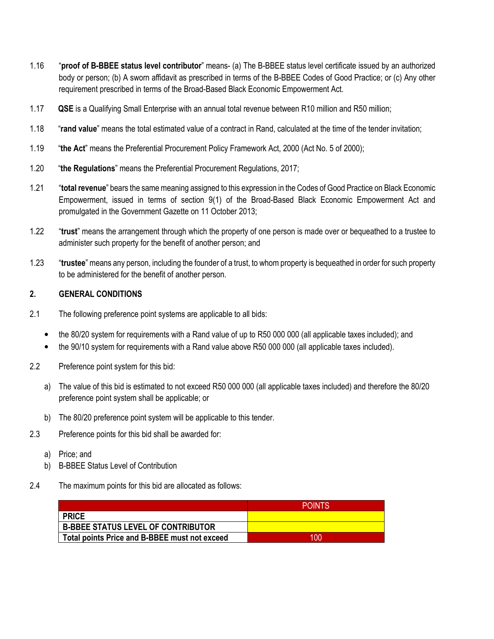- 1.16 "proof of B-BBEE status level contributor" means- (a) The B-BBEE status level certificate issued by an authorized body or person; (b) A sworn affidavit as prescribed in terms of the B-BBEE Codes of Good Practice; or (c) Any other requirement prescribed in terms of the Broad-Based Black Economic Empowerment Act.
- 1.17 **QSE** is a Qualifying Small Enterprise with an annual total revenue between R10 million and R50 million;
- 1.18 "rand value" means the total estimated value of a contract in Rand, calculated at the time of the tender invitation;
- 1.19 "the Act" means the Preferential Procurement Policy Framework Act, 2000 (Act No. 5 of 2000);
- 1.20 "the Regulations" means the Preferential Procurement Regulations, 2017;
- 1.21 "total revenue" bears the same meaning assigned to this expression in the Codes of Good Practice on Black Economic Empowerment, issued in terms of section 9(1) of the Broad-Based Black Economic Empowerment Act and promulgated in the Government Gazette on 11 October 2013;
- 1.22 "trust" means the arrangement through which the property of one person is made over or bequeathed to a trustee to administer such property for the benefit of another person; and
- 1.23 "trustee" means any person, including the founder of a trust, to whom property is bequeathed in order for such property to be administered for the benefit of another person.

### 2. GENERAL CONDITIONS

- 2.1 The following preference point systems are applicable to all bids:
	- the 80/20 system for requirements with a Rand value of up to R50 000 000 (all applicable taxes included); and
	- the 90/10 system for requirements with a Rand value above R50 000 000 (all applicable taxes included).
- 2.2 Preference point system for this bid:
	- a) The value of this bid is estimated to not exceed R50 000 000 (all applicable taxes included) and therefore the 80/20 preference point system shall be applicable; or
	- b) The 80/20 preference point system will be applicable to this tender.
- 2.3 Preference points for this bid shall be awarded for:
	- a) Price; and
	- b) B-BBEE Status Level of Contribution
- 2.4 The maximum points for this bid are allocated as follows:

|                                               | <b>POINTS</b> |
|-----------------------------------------------|---------------|
| <b>PRICE</b>                                  |               |
| <b>B-BBEE STATUS LEVEL OF CONTRIBUTOR</b>     |               |
| Total points Price and B-BBEE must not exceed | 100           |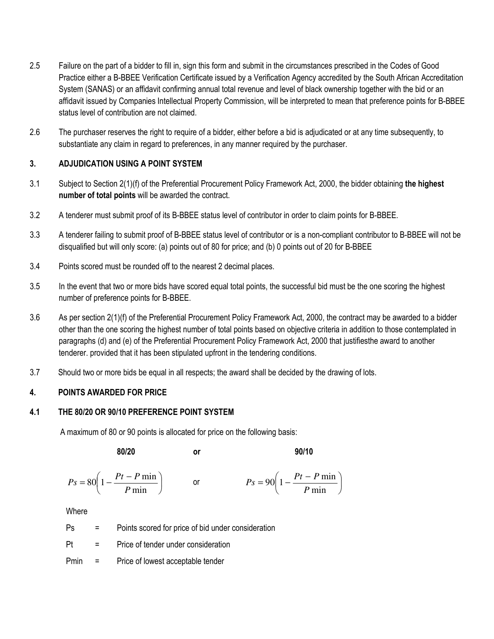- 2.5 Failure on the part of a bidder to fill in, sign this form and submit in the circumstances prescribed in the Codes of Good Practice either a B-BBEE Verification Certificate issued by a Verification Agency accredited by the South African Accreditation System (SANAS) or an affidavit confirming annual total revenue and level of black ownership together with the bid or an affidavit issued by Companies Intellectual Property Commission, will be interpreted to mean that preference points for B-BBEE status level of contribution are not claimed.
- 2.6 The purchaser reserves the right to require of a bidder, either before a bid is adjudicated or at any time subsequently, to substantiate any claim in regard to preferences, in any manner required by the purchaser.

# 3. ADJUDICATION USING A POINT SYSTEM

- 3.1 Subject to Section 2(1)(f) of the Preferential Procurement Policy Framework Act, 2000, the bidder obtaining the highest number of total points will be awarded the contract.
- 3.2 A tenderer must submit proof of its B-BBEE status level of contributor in order to claim points for B-BBEE.
- 3.3 A tenderer failing to submit proof of B-BBEE status level of contributor or is a non-compliant contributor to B-BBEE will not be disqualified but will only score: (a) points out of 80 for price; and (b) 0 points out of 20 for B-BBEE
- 3.4 Points scored must be rounded off to the nearest 2 decimal places.
- 3.5 In the event that two or more bids have scored equal total points, the successful bid must be the one scoring the highest number of preference points for B-BBEE.
- 3.6 As per section 2(1)(f) of the Preferential Procurement Policy Framework Act, 2000, the contract may be awarded to a bidder other than the one scoring the highest number of total points based on objective criteria in addition to those contemplated in paragraphs (d) and (e) of the Preferential Procurement Policy Framework Act, 2000 that justifiesthe award to another tenderer. provided that it has been stipulated upfront in the tendering conditions.
- 3.7 Should two or more bids be equal in all respects; the award shall be decided by the drawing of lots.

# 4. POINTS AWARDED FOR PRICE

# 4.1 THE 80/20 OR 90/10 PREFERENCE POINT SYSTEM

A maximum of 80 or 90 points is allocated for price on the following basis:

$$
80/20 \qquad \qquad \text{or} \qquad \qquad \qquad 90/10
$$

$$
Ps = 80\left(1 - \frac{Pt - P \min}{P \min}\right) \qquad \text{or} \qquad \qquad Ps = 90\left(1 - \frac{Pt - P \min}{P \min}\right)
$$

**Where** 

Ps = Points scored for price of bid under consideration

Pt = Price of tender under consideration

Pmin = Price of lowest acceptable tender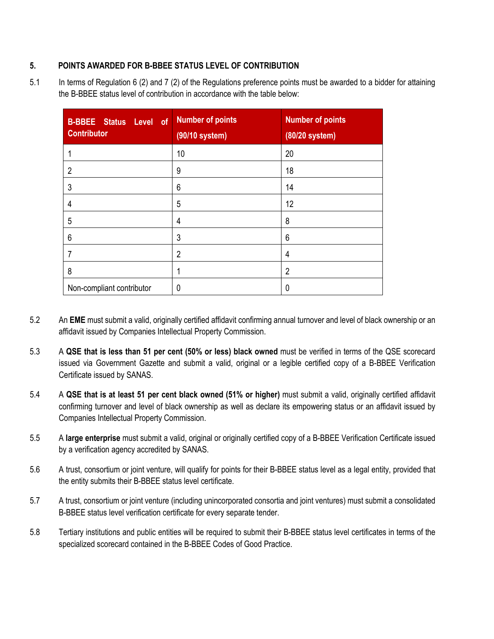# 5. POINTS AWARDED FOR B-BBEE STATUS LEVEL OF CONTRIBUTION

5.1 In terms of Regulation 6 (2) and 7 (2) of the Regulations preference points must be awarded to a bidder for attaining the B-BBEE status level of contribution in accordance with the table below:

| <b>B-BBEE Status Level of</b><br><b>Contributor</b> | <b>Number of points</b><br>(90/10 system) | <b>Number of points</b><br>(80/20 system) |
|-----------------------------------------------------|-------------------------------------------|-------------------------------------------|
|                                                     | 10                                        | 20                                        |
| $\overline{2}$                                      | 9                                         | 18                                        |
| 3                                                   | 6                                         | 14                                        |
| $\overline{4}$                                      | 5                                         | 12                                        |
| 5                                                   | 4                                         | 8                                         |
| 6                                                   | 3                                         | 6                                         |
| 7                                                   | $\overline{2}$                            | 4                                         |
| 8                                                   |                                           | $\overline{2}$                            |
| Non-compliant contributor                           | 0                                         | 0                                         |

- 5.2 An EME must submit a valid, originally certified affidavit confirming annual turnover and level of black ownership or an affidavit issued by Companies Intellectual Property Commission.
- 5.3 A QSE that is less than 51 per cent (50% or less) black owned must be verified in terms of the QSE scorecard issued via Government Gazette and submit a valid, original or a legible certified copy of a B-BBEE Verification Certificate issued by SANAS.
- 5.4 A QSE that is at least 51 per cent black owned (51% or higher) must submit a valid, originally certified affidavit confirming turnover and level of black ownership as well as declare its empowering status or an affidavit issued by Companies Intellectual Property Commission.
- 5.5 A large enterprise must submit a valid, original or originally certified copy of a B-BBEE Verification Certificate issued by a verification agency accredited by SANAS.
- 5.6 A trust, consortium or joint venture, will qualify for points for their B-BBEE status level as a legal entity, provided that the entity submits their B-BBEE status level certificate.
- 5.7 A trust, consortium or joint venture (including unincorporated consortia and joint ventures) must submit a consolidated B-BBEE status level verification certificate for every separate tender.
- 5.8 Tertiary institutions and public entities will be required to submit their B-BBEE status level certificates in terms of the specialized scorecard contained in the B-BBEE Codes of Good Practice.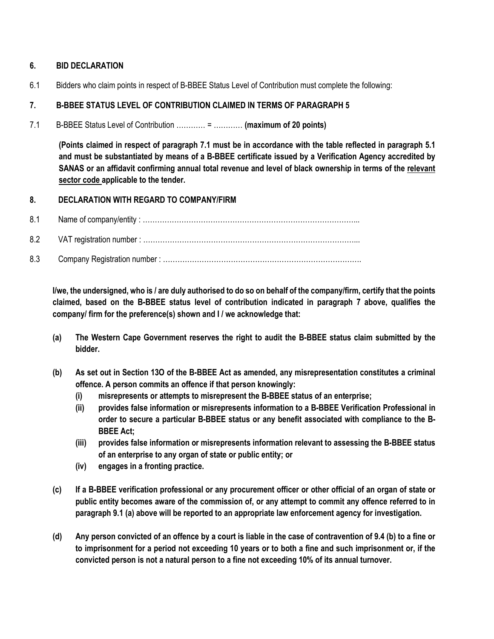# 6. BID DECLARATION

6.1 Bidders who claim points in respect of B-BBEE Status Level of Contribution must complete the following:

# 7. B-BBEE STATUS LEVEL OF CONTRIBUTION CLAIMED IN TERMS OF PARAGRAPH 5

7.1 B-BBEE Status Level of Contribution ………… = ………… (maximum of 20 points)

(Points claimed in respect of paragraph 7.1 must be in accordance with the table reflected in paragraph 5.1 and must be substantiated by means of a B-BBEE certificate issued by a Verification Agency accredited by SANAS or an affidavit confirming annual total revenue and level of black ownership in terms of the relevant sector code applicable to the tender.

# 8. DECLARATION WITH REGARD TO COMPANY/FIRM

- 8.1 Name of company/entity : ……………………………………………………………………………...
- 8.2 VAT registration number : ……………………………………………………………………………...
- 8.3 Company Registration number : ……………………………………………………………………….

I/we, the undersigned, who is / are duly authorised to do so on behalf of the company/firm, certify that the points claimed, based on the B-BBEE status level of contribution indicated in paragraph 7 above, qualifies the company/ firm for the preference(s) shown and I / we acknowledge that:

- (a) The Western Cape Government reserves the right to audit the B-BBEE status claim submitted by the bidder.
- (b) As set out in Section 13O of the B-BBEE Act as amended, any misrepresentation constitutes a criminal offence. A person commits an offence if that person knowingly:
	- (i) misrepresents or attempts to misrepresent the B-BBEE status of an enterprise;
	- (ii) provides false information or misrepresents information to a B-BBEE Verification Professional in order to secure a particular B-BBEE status or any benefit associated with compliance to the B-BBEE Act;
	- (iii) provides false information or misrepresents information relevant to assessing the B-BBEE status of an enterprise to any organ of state or public entity; or
	- (iv) engages in a fronting practice.
- (c) If a B-BBEE verification professional or any procurement officer or other official of an organ of state or public entity becomes aware of the commission of, or any attempt to commit any offence referred to in paragraph 9.1 (a) above will be reported to an appropriate law enforcement agency for investigation.
- (d) Any person convicted of an offence by a court is liable in the case of contravention of 9.4 (b) to a fine or to imprisonment for a period not exceeding 10 years or to both a fine and such imprisonment or, if the convicted person is not a natural person to a fine not exceeding 10% of its annual turnover.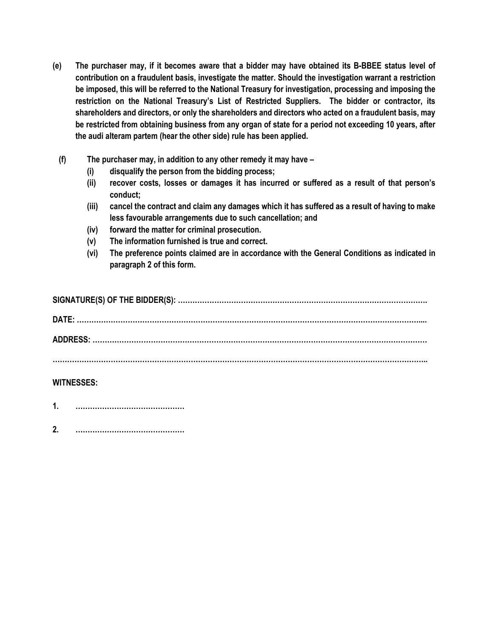- (e) The purchaser may, if it becomes aware that a bidder may have obtained its B-BBEE status level of contribution on a fraudulent basis, investigate the matter. Should the investigation warrant a restriction be imposed, this will be referred to the National Treasury for investigation, processing and imposing the restriction on the National Treasury's List of Restricted Suppliers. The bidder or contractor, its shareholders and directors, or only the shareholders and directors who acted on a fraudulent basis, may be restricted from obtaining business from any organ of state for a period not exceeding 10 years, after the audi alteram partem (hear the other side) rule has been applied.
	- (f) The purchaser may, in addition to any other remedy it may have
		- (i) disqualify the person from the bidding process;
		- (ii) recover costs, losses or damages it has incurred or suffered as a result of that person's conduct;
		- (iii) cancel the contract and claim any damages which it has suffered as a result of having to make less favourable arrangements due to such cancellation; and
		- (iv) forward the matter for criminal prosecution.
		- (v) The information furnished is true and correct.
		- (vi) The preference points claimed are in accordance with the General Conditions as indicated in paragraph 2 of this form.

| <b>DATF</b> |
|-------------|
|             |
|             |
|             |

# WITNESSES:

- 1. ………………………………………
- 2. ………………………………………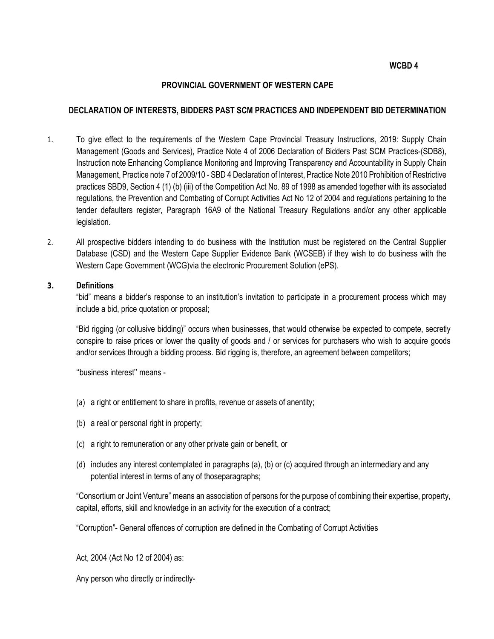#### WCBD 4

#### PROVINCIAL GOVERNMENT OF WESTERN CAPE

#### DECLARATION OF INTERESTS, BIDDERS PAST SCM PRACTICES AND INDEPENDENT BID DETERMINATION

- 1. To give effect to the requirements of the Western Cape Provincial Treasury Instructions, 2019: Supply Chain Management (Goods and Services), Practice Note 4 of 2006 Declaration of Bidders Past SCM Practices-(SDB8), Instruction note Enhancing Compliance Monitoring and Improving Transparency and Accountability in Supply Chain Management, Practice note 7 of 2009/10 - SBD 4 Declaration of Interest, Practice Note 2010 Prohibition of Restrictive practices SBD9, Section 4 (1) (b) (iii) of the Competition Act No. 89 of 1998 as amended together with its associated regulations, the Prevention and Combating of Corrupt Activities Act No 12 of 2004 and regulations pertaining to the tender defaulters register, Paragraph 16A9 of the National Treasury Regulations and/or any other applicable legislation.
- 2. All prospective bidders intending to do business with the Institution must be registered on the Central Supplier Database (CSD) and the Western Cape Supplier Evidence Bank (WCSEB) if they wish to do business with the Western Cape Government (WCG)via the electronic Procurement Solution (ePS).

#### 3. Definitions

"bid" means a bidder's response to an institution's invitation to participate in a procurement process which may include a bid, price quotation or proposal;

"Bid rigging (or collusive bidding)" occurs when businesses, that would otherwise be expected to compete, secretly conspire to raise prices or lower the quality of goods and / or services for purchasers who wish to acquire goods and/or services through a bidding process. Bid rigging is, therefore, an agreement between competitors;

''business interest'' means -

- (a) a right or entitlement to share in profits, revenue or assets of anentity;
- (b) a real or personal right in property;
- (c) a right to remuneration or any other private gain or benefit, or
- (d) includes any interest contemplated in paragraphs (a), (b) or (c) acquired through an intermediary and any potential interest in terms of any of thoseparagraphs;

"Consortium or Joint Venture" means an association of persons for the purpose of combining their expertise, property, capital, efforts, skill and knowledge in an activity for the execution of a contract;

"Corruption"- General offences of corruption are defined in the Combating of Corrupt Activities

Act, 2004 (Act No 12 of 2004) as:

Any person who directly or indirectly-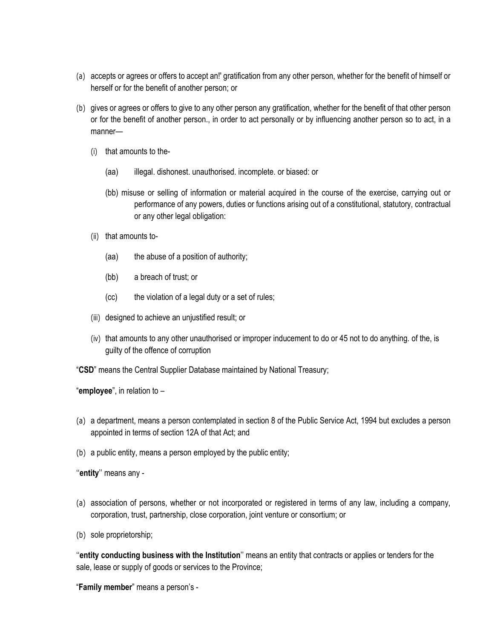- (a) accepts or agrees or offers to accept an!' gratification from any other person, whether for the benefit of himself or herself or for the benefit of another person; or
- (b) gives or agrees or offers to give to any other person any gratification, whether for the benefit of that other person or for the benefit of another person., in order to act personally or by influencing another person so to act, in a manner—
	- (i) that amounts to the-
		- (aa) illegal. dishonest. unauthorised. incomplete. or biased: or
		- (bb) misuse or selling of information or material acquired in the course of the exercise, carrying out or performance of any powers, duties or functions arising out of a constitutional, statutory, contractual or any other legal obligation:
	- (ii) that amounts to-
		- (aa) the abuse of a position of authority;
		- (bb) a breach of trust; or
		- (cc) the violation of a legal duty or a set of rules;
	- (iii) designed to achieve an unjustified result; or
	- (iv) that amounts to any other unauthorised or improper inducement to do or 45 not to do anything. of the, is guilty of the offence of corruption

"CSD" means the Central Supplier Database maintained by National Treasury;

"employee", in relation to –

- (a) a department, means a person contemplated in section 8 of the Public Service Act, 1994 but excludes a person appointed in terms of section 12A of that Act; and
- (b) a public entity, means a person employed by the public entity;

"entity" means any -

- (a) association of persons, whether or not incorporated or registered in terms of any law, including a company, corporation, trust, partnership, close corporation, joint venture or consortium; or
- (b) sole proprietorship;

''entity conducting business with the Institution'' means an entity that contracts or applies or tenders for the sale, lease or supply of goods or services to the Province;

"Family member" means a person's -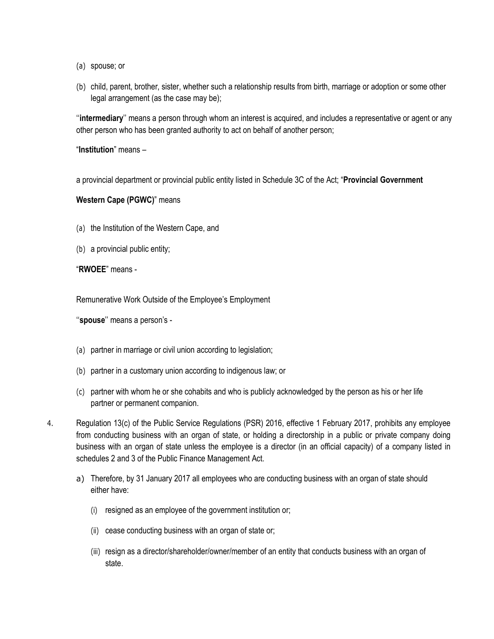- (a) spouse; or
- (b) child, parent, brother, sister, whether such a relationship results from birth, marriage or adoption or some other legal arrangement (as the case may be);

''intermediary'' means a person through whom an interest is acquired, and includes a representative or agent or any other person who has been granted authority to act on behalf of another person;

"Institution" means –

a provincial department or provincial public entity listed in Schedule 3C of the Act; "Provincial Government

Western Cape (PGWC)" means

- (a) the Institution of the Western Cape, and
- (b) a provincial public entity;

"RWOEE" means -

Remunerative Work Outside of the Employee's Employment

"spouse" means a person's -

- (a) partner in marriage or civil union according to legislation;
- (b) partner in a customary union according to indigenous law; or
- (c) partner with whom he or she cohabits and who is publicly acknowledged by the person as his or her life partner or permanent companion.
- 4. Regulation 13(c) of the Public Service Regulations (PSR) 2016, effective 1 February 2017, prohibits any employee from conducting business with an organ of state, or holding a directorship in a public or private company doing business with an organ of state unless the employee is a director (in an official capacity) of a company listed in schedules 2 and 3 of the Public Finance Management Act.
	- a) Therefore, by 31 January 2017 all employees who are conducting business with an organ of state should either have:
		- (i) resigned as an employee of the government institution or;
		- (ii) cease conducting business with an organ of state or;
		- (iii) resign as a director/shareholder/owner/member of an entity that conducts business with an organ of state.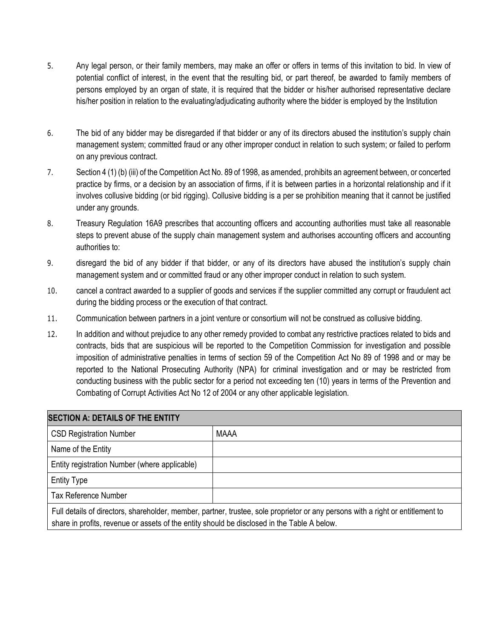- 5. Any legal person, or their family members, may make an offer or offers in terms of this invitation to bid. In view of potential conflict of interest, in the event that the resulting bid, or part thereof, be awarded to family members of persons employed by an organ of state, it is required that the bidder or his/her authorised representative declare his/her position in relation to the evaluating/adjudicating authority where the bidder is employed by the Institution
- 6. The bid of any bidder may be disregarded if that bidder or any of its directors abused the institution's supply chain management system; committed fraud or any other improper conduct in relation to such system; or failed to perform on any previous contract.
- 7. Section 4 (1) (b) (iii) of the Competition Act No. 89 of 1998, as amended, prohibits an agreement between, or concerted practice by firms, or a decision by an association of firms, if it is between parties in a horizontal relationship and if it involves collusive bidding (or bid rigging). Collusive bidding is a per se prohibition meaning that it cannot be justified under any grounds.
- 8. Treasury Regulation 16A9 prescribes that accounting officers and accounting authorities must take all reasonable steps to prevent abuse of the supply chain management system and authorises accounting officers and accounting authorities to:
- 9. disregard the bid of any bidder if that bidder, or any of its directors have abused the institution's supply chain management system and or committed fraud or any other improper conduct in relation to such system.
- 10. cancel a contract awarded to a supplier of goods and services if the supplier committed any corrupt or fraudulent act during the bidding process or the execution of that contract.
- 11. Communication between partners in a joint venture or consortium will not be construed as collusive bidding.
- 12. In addition and without prejudice to any other remedy provided to combat any restrictive practices related to bids and contracts, bids that are suspicious will be reported to the Competition Commission for investigation and possible imposition of administrative penalties in terms of section 59 of the Competition Act No 89 of 1998 and or may be reported to the National Prosecuting Authority (NPA) for criminal investigation and or may be restricted from conducting business with the public sector for a period not exceeding ten (10) years in terms of the Prevention and Combating of Corrupt Activities Act No 12 of 2004 or any other applicable legislation.

| <b>SECTION A: DETAILS OF THE ENTITY</b>                                                                                                                                                                                        |             |  |  |  |  |
|--------------------------------------------------------------------------------------------------------------------------------------------------------------------------------------------------------------------------------|-------------|--|--|--|--|
| <b>CSD Registration Number</b>                                                                                                                                                                                                 | <b>MAAA</b> |  |  |  |  |
| Name of the Entity                                                                                                                                                                                                             |             |  |  |  |  |
| Entity registration Number (where applicable)                                                                                                                                                                                  |             |  |  |  |  |
| <b>Entity Type</b>                                                                                                                                                                                                             |             |  |  |  |  |
| <b>Tax Reference Number</b>                                                                                                                                                                                                    |             |  |  |  |  |
| Full details of directors, shareholder, member, partner, trustee, sole proprietor or any persons with a right or entitlement to<br>share in profits, revenue or assets of the entity should be disclosed in the Table A below. |             |  |  |  |  |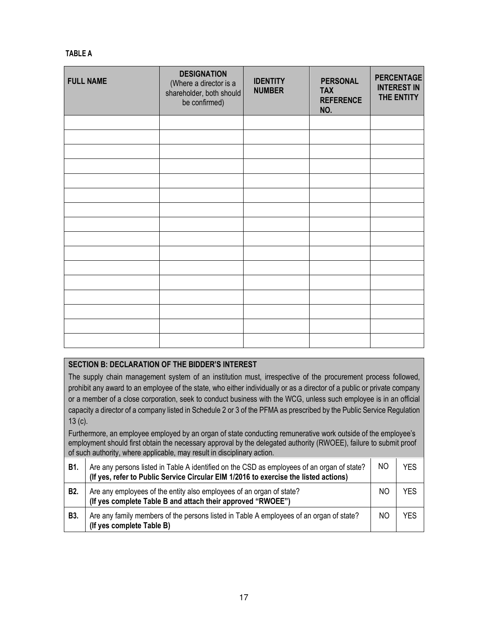### TABLE A

| <b>FULL NAME</b> | <b>DESIGNATION</b><br>(Where a director is a<br>shareholder, both should<br>be confirmed) | <b>IDENTITY</b><br><b>NUMBER</b> | <b>PERSONAL</b><br><b>TAX</b><br><b>REFERENCE</b><br>NO. | <b>PERCENTAGE</b><br><b>INTEREST IN</b><br>THE ENTITY |
|------------------|-------------------------------------------------------------------------------------------|----------------------------------|----------------------------------------------------------|-------------------------------------------------------|
|                  |                                                                                           |                                  |                                                          |                                                       |
|                  |                                                                                           |                                  |                                                          |                                                       |
|                  |                                                                                           |                                  |                                                          |                                                       |
|                  |                                                                                           |                                  |                                                          |                                                       |
|                  |                                                                                           |                                  |                                                          |                                                       |
|                  |                                                                                           |                                  |                                                          |                                                       |
|                  |                                                                                           |                                  |                                                          |                                                       |
|                  |                                                                                           |                                  |                                                          |                                                       |
|                  |                                                                                           |                                  |                                                          |                                                       |
|                  |                                                                                           |                                  |                                                          |                                                       |
|                  |                                                                                           |                                  |                                                          |                                                       |
|                  |                                                                                           |                                  |                                                          |                                                       |
|                  |                                                                                           |                                  |                                                          |                                                       |
|                  |                                                                                           |                                  |                                                          |                                                       |
|                  |                                                                                           |                                  |                                                          |                                                       |
|                  |                                                                                           |                                  |                                                          |                                                       |

# SECTION B: DECLARATION OF THE BIDDER'S INTEREST

The supply chain management system of an institution must, irrespective of the procurement process followed, prohibit any award to an employee of the state, who either individually or as a director of a public or private company or a member of a close corporation, seek to conduct business with the WCG, unless such employee is in an official capacity a director of a company listed in Schedule 2 or 3 of the PFMA as prescribed by the Public Service Regulation 13 (c).

Furthermore, an employee employed by an organ of state conducting remunerative work outside of the employee's employment should first obtain the necessary approval by the delegated authority (RWOEE), failure to submit proof of such authority, where applicable, may result in disciplinary action.

| B1. | Are any persons listed in Table A identified on the CSD as employees of an organ of state?<br>(If yes, refer to Public Service Circular EIM 1/2016 to exercise the listed actions) | NO. | YES |
|-----|------------------------------------------------------------------------------------------------------------------------------------------------------------------------------------|-----|-----|
| B2. | Are any employees of the entity also employees of an organ of state?<br>(If yes complete Table B and attach their approved "RWOEE")                                                | ΝC  | YFS |
| B3. | Are any family members of the persons listed in Table A employees of an organ of state?<br>(If yes complete Table B)                                                               | NO  | YES |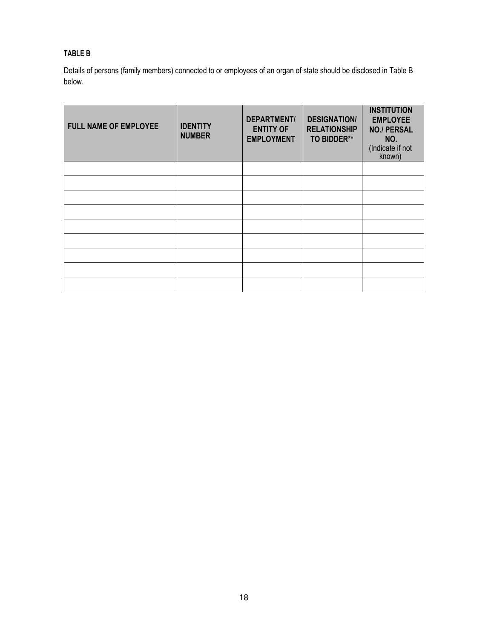# TABLE B

Details of persons (family members) connected to or employees of an organ of state should be disclosed in Table B below.

| <b>FULL NAME OF EMPLOYEE</b> | <b>IDENTITY</b><br><b>NUMBER</b> | <b>DEPARTMENT/</b><br><b>ENTITY OF</b><br><b>EMPLOYMENT</b> | <b>DESIGNATION/</b><br><b>RELATIONSHIP</b><br><b>TO BIDDER**</b> | <b>INSTITUTION</b><br><b>EMPLOYEE</b><br><b>NO./ PERSAL</b><br>NO.<br>(Indicate if not<br>known) |
|------------------------------|----------------------------------|-------------------------------------------------------------|------------------------------------------------------------------|--------------------------------------------------------------------------------------------------|
|                              |                                  |                                                             |                                                                  |                                                                                                  |
|                              |                                  |                                                             |                                                                  |                                                                                                  |
|                              |                                  |                                                             |                                                                  |                                                                                                  |
|                              |                                  |                                                             |                                                                  |                                                                                                  |
|                              |                                  |                                                             |                                                                  |                                                                                                  |
|                              |                                  |                                                             |                                                                  |                                                                                                  |
|                              |                                  |                                                             |                                                                  |                                                                                                  |
|                              |                                  |                                                             |                                                                  |                                                                                                  |
|                              |                                  |                                                             |                                                                  |                                                                                                  |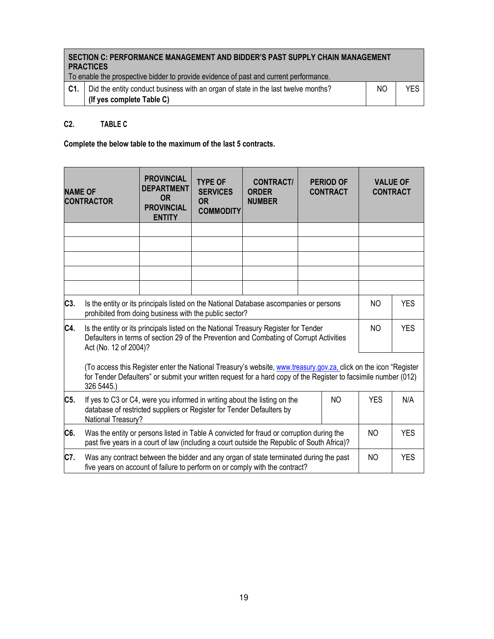|     | SECTION C: PERFORMANCE MANAGEMENT AND BIDDER'S PAST SUPPLY CHAIN MANAGEMENT<br><b>PRACTICES</b><br>To enable the prospective bidder to provide evidence of past and current performance. |     |     |
|-----|------------------------------------------------------------------------------------------------------------------------------------------------------------------------------------------|-----|-----|
| C1. | Did the entity conduct business with an organ of state in the last twelve months?                                                                                                        | NO. | YFS |
|     | (If yes complete Table C)                                                                                                                                                                |     |     |

# C2. TABLE C

Complete the below table to the maximum of the last 5 contracts.

| <b>NAME OF</b> | <b>CONTRACTOR</b>                                                                                                                                                                                                                                 | <b>PROVINCIAL</b><br><b>DEPARTMENT</b><br><b>OR</b><br><b>PROVINCIAL</b><br><b>ENTITY</b> | <b>TYPE OF</b><br><b>SERVICES</b><br><b>OR</b><br><b>COMMODITY</b> | <b>CONTRACT/</b><br><b>ORDER</b><br><b>NUMBER</b> |  | <b>PERIOD OF</b><br><b>CONTRACT</b> |  | <b>VALUE OF</b><br><b>CONTRACT</b> |
|----------------|---------------------------------------------------------------------------------------------------------------------------------------------------------------------------------------------------------------------------------------------------|-------------------------------------------------------------------------------------------|--------------------------------------------------------------------|---------------------------------------------------|--|-------------------------------------|--|------------------------------------|
|                |                                                                                                                                                                                                                                                   |                                                                                           |                                                                    |                                                   |  |                                     |  |                                    |
|                |                                                                                                                                                                                                                                                   |                                                                                           |                                                                    |                                                   |  |                                     |  |                                    |
|                |                                                                                                                                                                                                                                                   |                                                                                           |                                                                    |                                                   |  |                                     |  |                                    |
|                |                                                                                                                                                                                                                                                   |                                                                                           |                                                                    |                                                   |  |                                     |  |                                    |
|                |                                                                                                                                                                                                                                                   |                                                                                           |                                                                    |                                                   |  |                                     |  |                                    |
| C3.            | Is the entity or its principals listed on the National Database ascompanies or persons<br>N <sub>O</sub><br>prohibited from doing business with the public sector?                                                                                |                                                                                           |                                                                    |                                                   |  | <b>YES</b>                          |  |                                    |
| C4.            | Is the entity or its principals listed on the National Treasury Register for Tender<br>NO.<br>Defaulters in terms of section 29 of the Prevention and Combating of Corrupt Activities<br>Act (No. 12 of 2004)?                                    |                                                                                           |                                                                    | <b>YES</b>                                        |  |                                     |  |                                    |
|                | (To access this Register enter the National Treasury's website, www.treasury.gov.za, click on the icon "Register<br>for Tender Defaulters" or submit your written request for a hard copy of the Register to facsimile number (012)<br>326 5445.) |                                                                                           |                                                                    |                                                   |  |                                     |  |                                    |
| C5.            | If yes to C3 or C4, were you informed in writing about the listing on the<br><b>NO</b><br><b>YES</b><br>N/A<br>database of restricted suppliers or Register for Tender Defaulters by<br>National Treasury?                                        |                                                                                           |                                                                    |                                                   |  |                                     |  |                                    |
| C6.            | <b>YES</b><br>Was the entity or persons listed in Table A convicted for fraud or corruption during the<br>NO.<br>past five years in a court of law (including a court outside the Republic of South Africa)?                                      |                                                                                           |                                                                    |                                                   |  |                                     |  |                                    |
| C7.            | Was any contract between the bidder and any organ of state terminated during the past<br>NO<br>five years on account of failure to perform on or comply with the contract?                                                                        |                                                                                           |                                                                    | <b>YES</b>                                        |  |                                     |  |                                    |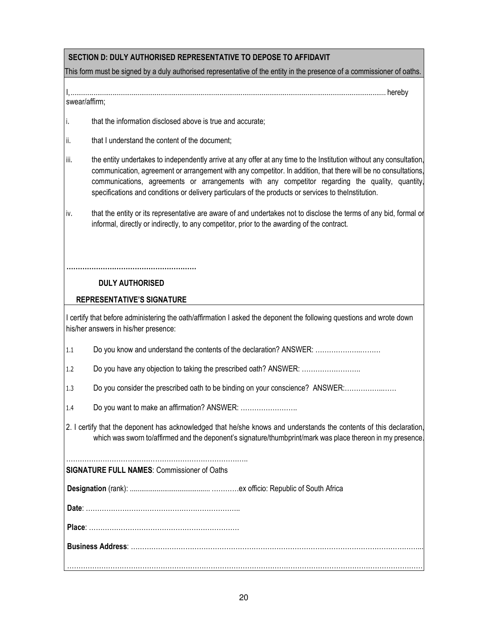# SECTION D: DULY AUTHORISED REPRESENTATIVE TO DEPOSE TO AFFIDAVIT

This form must be signed by a duly authorised representative of the entity in the presence of a commissioner of oaths.

# I, ..................................................................................................................................................................... hereby

swear/affirm;

- i. that the information disclosed above is true and accurate;
- ii. that I understand the content of the document;
- iii. the entity undertakes to independently arrive at any offer at any time to the Institution without any consultation, communication, agreement or arrangement with any competitor. In addition, that there will be no consultations, communications, agreements or arrangements with any competitor regarding the quality, quantity, specifications and conditions or delivery particulars of the products or services to theInstitution.
- iv. that the entity or its representative are aware of and undertakes not to disclose the terms of any bid, formal or informal, directly or indirectly, to any competitor, prior to the awarding of the contract.

# ………………………………………………… DULY AUTHORISED

### REPRESENTATIVE'S SIGNATURE

I certify that before administering the oath/affirmation I asked the deponent the following questions and wrote down his/her answers in his/her presence:

- 1.1 Do you know and understand the contents of the declaration? ANSWER: ............................
- 1.2 Do you have any objection to taking the prescribed oath? ANSWER: ...............................
- 1.3 Do you consider the prescribed oath to be binding on your conscience? ANSWER:.............................
- 1.4 Do you want to make an affirmation? ANSWER: …………………….
- 2. I certify that the deponent has acknowledged that he/she knows and understands the contents of this declaration, which was sworn to/affirmed and the deponent's signature/thumbprint/mark was place thereon in my presence

SIGNATURE FULL NAMES: Commissioner of Oaths

Designation (rank): .......................................... …………ex officio: Republic of South Africa

Date: …………………………………………………………..

Place: …………………………………………………………

…………………………………………………………………………………………………………………………………………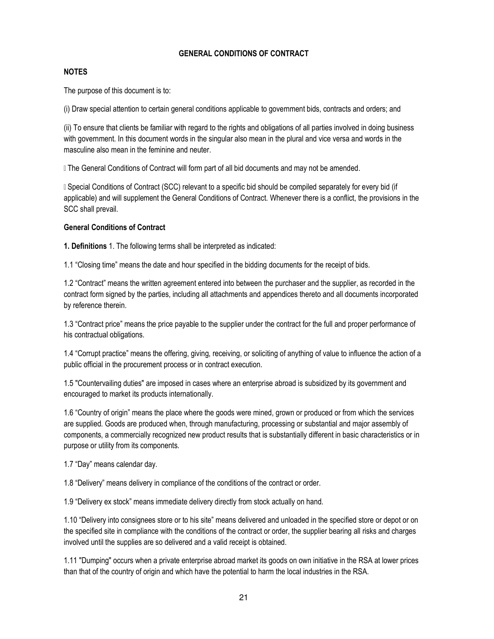#### GENERAL CONDITIONS OF CONTRACT

#### NOTES

The purpose of this document is to:

(i) Draw special attention to certain general conditions applicable to government bids, contracts and orders; and

(ii) To ensure that clients be familiar with regard to the rights and obligations of all parties involved in doing business with government. In this document words in the singular also mean in the plural and vice versa and words in the masculine also mean in the feminine and neuter.

Whe General Conditions of Contract will form part of all bid documents and may not be amended.

Whecial Conditions of Contract (SCC) relevant to a specific bid should be compiled separately for every bid (if applicable) and will supplement the General Conditions of Contract. Whenever there is a conflict, the provisions in the SCC shall prevail.

#### General Conditions of Contract

1. Definitions 1. The following terms shall be interpreted as indicated:

1.1 "Closing time" means the date and hour specified in the bidding documents for the receipt of bids.

1.2 "Contract" means the written agreement entered into between the purchaser and the supplier, as recorded in the contract form signed by the parties, including all attachments and appendices thereto and all documents incorporated by reference therein.

1.3 "Contract price" means the price payable to the supplier under the contract for the full and proper performance of his contractual obligations.

1.4 "Corrupt practice" means the offering, giving, receiving, or soliciting of anything of value to influence the action of a public official in the procurement process or in contract execution.

1.5 "Countervailing duties" are imposed in cases where an enterprise abroad is subsidized by its government and encouraged to market its products internationally.

1.6 "Country of origin" means the place where the goods were mined, grown or produced or from which the services are supplied. Goods are produced when, through manufacturing, processing or substantial and major assembly of components, a commercially recognized new product results that is substantially different in basic characteristics or in purpose or utility from its components.

1.7 "Day" means calendar day.

1.8 "Delivery" means delivery in compliance of the conditions of the contract or order.

1.9 "Delivery ex stock" means immediate delivery directly from stock actually on hand.

1.10 "Delivery into consignees store or to his site" means delivered and unloaded in the specified store or depot or on the specified site in compliance with the conditions of the contract or order, the supplier bearing all risks and charges involved until the supplies are so delivered and a valid receipt is obtained.

1.11 "Dumping" occurs when a private enterprise abroad market its goods on own initiative in the RSA at lower prices than that of the country of origin and which have the potential to harm the local industries in the RSA.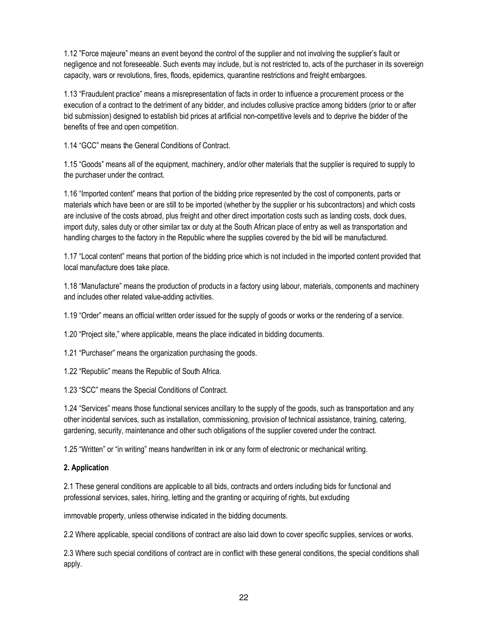1.12 "Force majeure" means an event beyond the control of the supplier and not involving the supplier's fault or negligence and not foreseeable. Such events may include, but is not restricted to, acts of the purchaser in its sovereign capacity, wars or revolutions, fires, floods, epidemics, quarantine restrictions and freight embargoes.

1.13 "Fraudulent practice" means a misrepresentation of facts in order to influence a procurement process or the execution of a contract to the detriment of any bidder, and includes collusive practice among bidders (prior to or after bid submission) designed to establish bid prices at artificial non-competitive levels and to deprive the bidder of the benefits of free and open competition.

1.14 "GCC" means the General Conditions of Contract.

1.15 "Goods" means all of the equipment, machinery, and/or other materials that the supplier is required to supply to the purchaser under the contract.

1.16 "Imported content" means that portion of the bidding price represented by the cost of components, parts or materials which have been or are still to be imported (whether by the supplier or his subcontractors) and which costs are inclusive of the costs abroad, plus freight and other direct importation costs such as landing costs, dock dues, import duty, sales duty or other similar tax or duty at the South African place of entry as well as transportation and handling charges to the factory in the Republic where the supplies covered by the bid will be manufactured.

1.17 "Local content" means that portion of the bidding price which is not included in the imported content provided that local manufacture does take place.

1.18 "Manufacture" means the production of products in a factory using labour, materials, components and machinery and includes other related value-adding activities.

1.19 "Order" means an official written order issued for the supply of goods or works or the rendering of a service.

1.20 "Project site," where applicable, means the place indicated in bidding documents.

1.21 "Purchaser" means the organization purchasing the goods.

1.22 "Republic" means the Republic of South Africa.

1.23 "SCC" means the Special Conditions of Contract.

1.24 "Services" means those functional services ancillary to the supply of the goods, such as transportation and any other incidental services, such as installation, commissioning, provision of technical assistance, training, catering, gardening, security, maintenance and other such obligations of the supplier covered under the contract.

1.25 "Written" or "in writing" means handwritten in ink or any form of electronic or mechanical writing.

#### 2. Application

2.1 These general conditions are applicable to all bids, contracts and orders including bids for functional and professional services, sales, hiring, letting and the granting or acquiring of rights, but excluding

immovable property, unless otherwise indicated in the bidding documents.

2.2 Where applicable, special conditions of contract are also laid down to cover specific supplies, services or works.

2.3 Where such special conditions of contract are in conflict with these general conditions, the special conditions shall apply.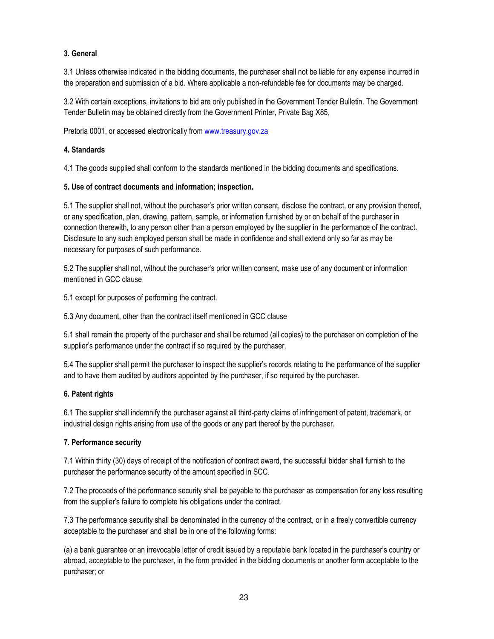# 3. General

3.1 Unless otherwise indicated in the bidding documents, the purchaser shall not be liable for any expense incurred in the preparation and submission of a bid. Where applicable a non-refundable fee for documents may be charged.

3.2 With certain exceptions, invitations to bid are only published in the Government Tender Bulletin. The Government Tender Bulletin may be obtained directly from the Government Printer, Private Bag X85,

Pretoria 0001, or accessed electronically from www.treasury.gov.za

#### 4. Standards

4.1 The goods supplied shall conform to the standards mentioned in the bidding documents and specifications.

### 5. Use of contract documents and information; inspection.

5.1 The supplier shall not, without the purchaser's prior written consent, disclose the contract, or any provision thereof, or any specification, plan, drawing, pattern, sample, or information furnished by or on behalf of the purchaser in connection therewith, to any person other than a person employed by the supplier in the performance of the contract. Disclosure to any such employed person shall be made in confidence and shall extend only so far as may be necessary for purposes of such performance.

5.2 The supplier shall not, without the purchaser's prior written consent, make use of any document or information mentioned in GCC clause

5.1 except for purposes of performing the contract.

5.3 Any document, other than the contract itself mentioned in GCC clause

5.1 shall remain the property of the purchaser and shall be returned (all copies) to the purchaser on completion of the supplier's performance under the contract if so required by the purchaser.

5.4 The supplier shall permit the purchaser to inspect the supplier's records relating to the performance of the supplier and to have them audited by auditors appointed by the purchaser, if so required by the purchaser.

# 6. Patent rights

6.1 The supplier shall indemnify the purchaser against all third-party claims of infringement of patent, trademark, or industrial design rights arising from use of the goods or any part thereof by the purchaser.

# 7. Performance security

7.1 Within thirty (30) days of receipt of the notification of contract award, the successful bidder shall furnish to the purchaser the performance security of the amount specified in SCC.

7.2 The proceeds of the performance security shall be payable to the purchaser as compensation for any loss resulting from the supplier's failure to complete his obligations under the contract.

7.3 The performance security shall be denominated in the currency of the contract, or in a freely convertible currency acceptable to the purchaser and shall be in one of the following forms:

(a) a bank guarantee or an irrevocable letter of credit issued by a reputable bank located in the purchaser's country or abroad, acceptable to the purchaser, in the form provided in the bidding documents or another form acceptable to the purchaser; or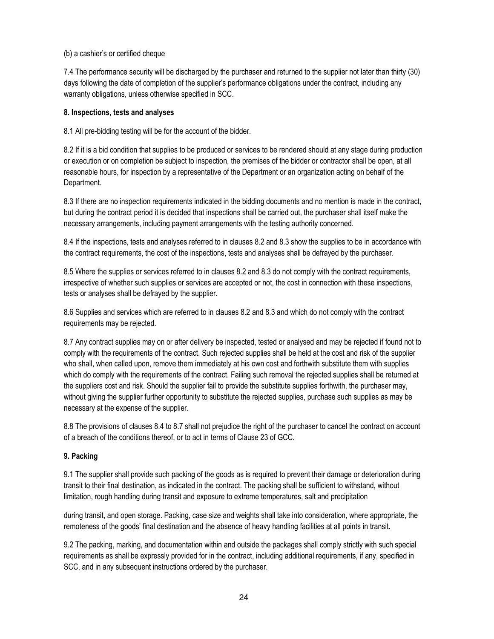#### (b) a cashier's or certified cheque

7.4 The performance security will be discharged by the purchaser and returned to the supplier not later than thirty (30) days following the date of completion of the supplier's performance obligations under the contract, including any warranty obligations, unless otherwise specified in SCC.

#### 8. Inspections, tests and analyses

8.1 All pre-bidding testing will be for the account of the bidder.

8.2 If it is a bid condition that supplies to be produced or services to be rendered should at any stage during production or execution or on completion be subject to inspection, the premises of the bidder or contractor shall be open, at all reasonable hours, for inspection by a representative of the Department or an organization acting on behalf of the Department.

8.3 If there are no inspection requirements indicated in the bidding documents and no mention is made in the contract, but during the contract period it is decided that inspections shall be carried out, the purchaser shall itself make the necessary arrangements, including payment arrangements with the testing authority concerned.

8.4 If the inspections, tests and analyses referred to in clauses 8.2 and 8.3 show the supplies to be in accordance with the contract requirements, the cost of the inspections, tests and analyses shall be defrayed by the purchaser.

8.5 Where the supplies or services referred to in clauses 8.2 and 8.3 do not comply with the contract requirements, irrespective of whether such supplies or services are accepted or not, the cost in connection with these inspections, tests or analyses shall be defrayed by the supplier.

8.6 Supplies and services which are referred to in clauses 8.2 and 8.3 and which do not comply with the contract requirements may be rejected.

8.7 Any contract supplies may on or after delivery be inspected, tested or analysed and may be rejected if found not to comply with the requirements of the contract. Such rejected supplies shall be held at the cost and risk of the supplier who shall, when called upon, remove them immediately at his own cost and forthwith substitute them with supplies which do comply with the requirements of the contract. Failing such removal the rejected supplies shall be returned at the suppliers cost and risk. Should the supplier fail to provide the substitute supplies forthwith, the purchaser may, without giving the supplier further opportunity to substitute the rejected supplies, purchase such supplies as may be necessary at the expense of the supplier.

8.8 The provisions of clauses 8.4 to 8.7 shall not prejudice the right of the purchaser to cancel the contract on account of a breach of the conditions thereof, or to act in terms of Clause 23 of GCC.

#### 9. Packing

9.1 The supplier shall provide such packing of the goods as is required to prevent their damage or deterioration during transit to their final destination, as indicated in the contract. The packing shall be sufficient to withstand, without limitation, rough handling during transit and exposure to extreme temperatures, salt and precipitation

during transit, and open storage. Packing, case size and weights shall take into consideration, where appropriate, the remoteness of the goods' final destination and the absence of heavy handling facilities at all points in transit.

9.2 The packing, marking, and documentation within and outside the packages shall comply strictly with such special requirements as shall be expressly provided for in the contract, including additional requirements, if any, specified in SCC, and in any subsequent instructions ordered by the purchaser.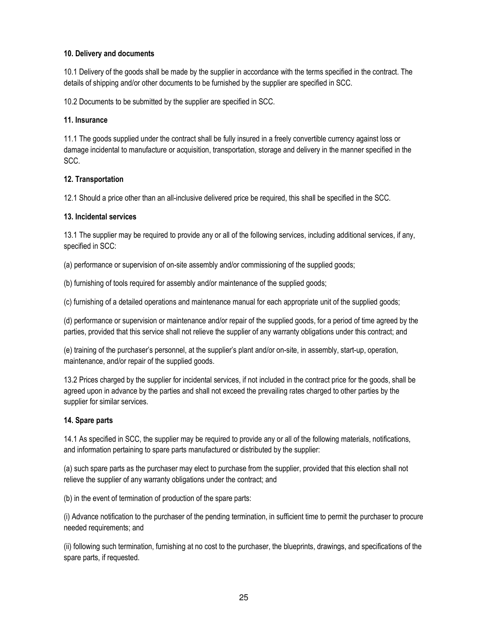#### 10. Delivery and documents

10.1 Delivery of the goods shall be made by the supplier in accordance with the terms specified in the contract. The details of shipping and/or other documents to be furnished by the supplier are specified in SCC.

10.2 Documents to be submitted by the supplier are specified in SCC.

#### 11. Insurance

11.1 The goods supplied under the contract shall be fully insured in a freely convertible currency against loss or damage incidental to manufacture or acquisition, transportation, storage and delivery in the manner specified in the SCC.

#### 12. Transportation

12.1 Should a price other than an all-inclusive delivered price be required, this shall be specified in the SCC.

#### 13. Incidental services

13.1 The supplier may be required to provide any or all of the following services, including additional services, if any, specified in SCC:

(a) performance or supervision of on-site assembly and/or commissioning of the supplied goods;

(b) furnishing of tools required for assembly and/or maintenance of the supplied goods;

(c) furnishing of a detailed operations and maintenance manual for each appropriate unit of the supplied goods;

(d) performance or supervision or maintenance and/or repair of the supplied goods, for a period of time agreed by the parties, provided that this service shall not relieve the supplier of any warranty obligations under this contract; and

(e) training of the purchaser's personnel, at the supplier's plant and/or on-site, in assembly, start-up, operation, maintenance, and/or repair of the supplied goods.

13.2 Prices charged by the supplier for incidental services, if not included in the contract price for the goods, shall be agreed upon in advance by the parties and shall not exceed the prevailing rates charged to other parties by the supplier for similar services.

#### 14. Spare parts

14.1 As specified in SCC, the supplier may be required to provide any or all of the following materials, notifications, and information pertaining to spare parts manufactured or distributed by the supplier:

(a) such spare parts as the purchaser may elect to purchase from the supplier, provided that this election shall not relieve the supplier of any warranty obligations under the contract; and

(b) in the event of termination of production of the spare parts:

(i) Advance notification to the purchaser of the pending termination, in sufficient time to permit the purchaser to procure needed requirements; and

(ii) following such termination, furnishing at no cost to the purchaser, the blueprints, drawings, and specifications of the spare parts, if requested.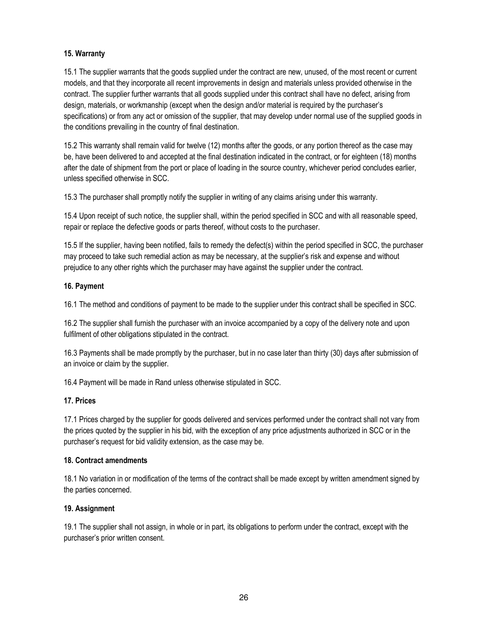#### 15. Warranty

15.1 The supplier warrants that the goods supplied under the contract are new, unused, of the most recent or current models, and that they incorporate all recent improvements in design and materials unless provided otherwise in the contract. The supplier further warrants that all goods supplied under this contract shall have no defect, arising from design, materials, or workmanship (except when the design and/or material is required by the purchaser's specifications) or from any act or omission of the supplier, that may develop under normal use of the supplied goods in the conditions prevailing in the country of final destination.

15.2 This warranty shall remain valid for twelve (12) months after the goods, or any portion thereof as the case may be, have been delivered to and accepted at the final destination indicated in the contract, or for eighteen (18) months after the date of shipment from the port or place of loading in the source country, whichever period concludes earlier, unless specified otherwise in SCC.

15.3 The purchaser shall promptly notify the supplier in writing of any claims arising under this warranty.

15.4 Upon receipt of such notice, the supplier shall, within the period specified in SCC and with all reasonable speed, repair or replace the defective goods or parts thereof, without costs to the purchaser.

15.5 If the supplier, having been notified, fails to remedy the defect(s) within the period specified in SCC, the purchaser may proceed to take such remedial action as may be necessary, at the supplier's risk and expense and without prejudice to any other rights which the purchaser may have against the supplier under the contract.

#### 16. Payment

16.1 The method and conditions of payment to be made to the supplier under this contract shall be specified in SCC.

16.2 The supplier shall furnish the purchaser with an invoice accompanied by a copy of the delivery note and upon fulfilment of other obligations stipulated in the contract.

16.3 Payments shall be made promptly by the purchaser, but in no case later than thirty (30) days after submission of an invoice or claim by the supplier.

16.4 Payment will be made in Rand unless otherwise stipulated in SCC.

#### 17. Prices

17.1 Prices charged by the supplier for goods delivered and services performed under the contract shall not vary from the prices quoted by the supplier in his bid, with the exception of any price adjustments authorized in SCC or in the purchaser's request for bid validity extension, as the case may be.

#### 18. Contract amendments

18.1 No variation in or modification of the terms of the contract shall be made except by written amendment signed by the parties concerned.

#### 19. Assignment

19.1 The supplier shall not assign, in whole or in part, its obligations to perform under the contract, except with the purchaser's prior written consent.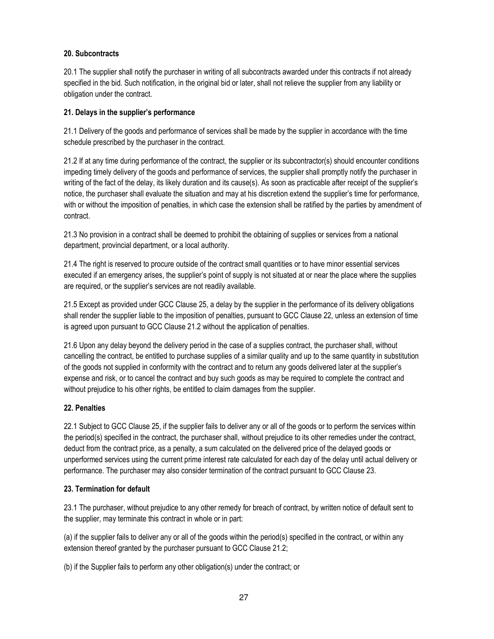### 20. Subcontracts

20.1 The supplier shall notify the purchaser in writing of all subcontracts awarded under this contracts if not already specified in the bid. Such notification, in the original bid or later, shall not relieve the supplier from any liability or obligation under the contract.

#### 21. Delays in the supplier's performance

21.1 Delivery of the goods and performance of services shall be made by the supplier in accordance with the time schedule prescribed by the purchaser in the contract.

21.2 If at any time during performance of the contract, the supplier or its subcontractor(s) should encounter conditions impeding timely delivery of the goods and performance of services, the supplier shall promptly notify the purchaser in writing of the fact of the delay, its likely duration and its cause(s). As soon as practicable after receipt of the supplier's notice, the purchaser shall evaluate the situation and may at his discretion extend the supplier's time for performance, with or without the imposition of penalties, in which case the extension shall be ratified by the parties by amendment of contract.

21.3 No provision in a contract shall be deemed to prohibit the obtaining of supplies or services from a national department, provincial department, or a local authority.

21.4 The right is reserved to procure outside of the contract small quantities or to have minor essential services executed if an emergency arises, the supplier's point of supply is not situated at or near the place where the supplies are required, or the supplier's services are not readily available.

21.5 Except as provided under GCC Clause 25, a delay by the supplier in the performance of its delivery obligations shall render the supplier liable to the imposition of penalties, pursuant to GCC Clause 22, unless an extension of time is agreed upon pursuant to GCC Clause 21.2 without the application of penalties.

21.6 Upon any delay beyond the delivery period in the case of a supplies contract, the purchaser shall, without cancelling the contract, be entitled to purchase supplies of a similar quality and up to the same quantity in substitution of the goods not supplied in conformity with the contract and to return any goods delivered later at the supplier's expense and risk, or to cancel the contract and buy such goods as may be required to complete the contract and without prejudice to his other rights, be entitled to claim damages from the supplier.

# 22. Penalties

22.1 Subject to GCC Clause 25, if the supplier fails to deliver any or all of the goods or to perform the services within the period(s) specified in the contract, the purchaser shall, without prejudice to its other remedies under the contract, deduct from the contract price, as a penalty, a sum calculated on the delivered price of the delayed goods or unperformed services using the current prime interest rate calculated for each day of the delay until actual delivery or performance. The purchaser may also consider termination of the contract pursuant to GCC Clause 23.

#### 23. Termination for default

23.1 The purchaser, without prejudice to any other remedy for breach of contract, by written notice of default sent to the supplier, may terminate this contract in whole or in part:

(a) if the supplier fails to deliver any or all of the goods within the period(s) specified in the contract, or within any extension thereof granted by the purchaser pursuant to GCC Clause 21.2;

(b) if the Supplier fails to perform any other obligation(s) under the contract; or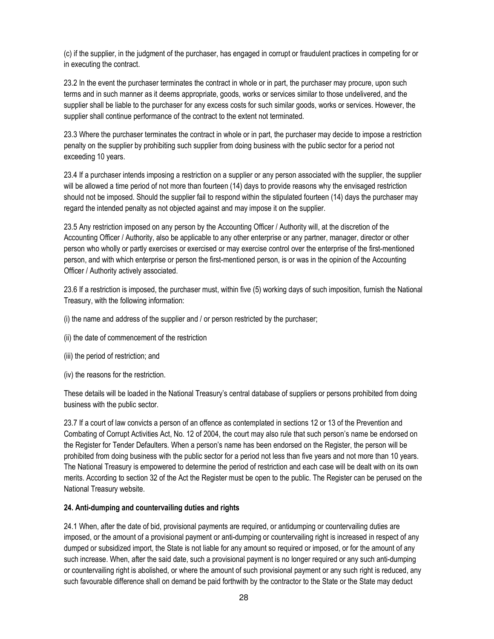(c) if the supplier, in the judgment of the purchaser, has engaged in corrupt or fraudulent practices in competing for or in executing the contract.

23.2 In the event the purchaser terminates the contract in whole or in part, the purchaser may procure, upon such terms and in such manner as it deems appropriate, goods, works or services similar to those undelivered, and the supplier shall be liable to the purchaser for any excess costs for such similar goods, works or services. However, the supplier shall continue performance of the contract to the extent not terminated.

23.3 Where the purchaser terminates the contract in whole or in part, the purchaser may decide to impose a restriction penalty on the supplier by prohibiting such supplier from doing business with the public sector for a period not exceeding 10 years.

23.4 If a purchaser intends imposing a restriction on a supplier or any person associated with the supplier, the supplier will be allowed a time period of not more than fourteen (14) days to provide reasons why the envisaged restriction should not be imposed. Should the supplier fail to respond within the stipulated fourteen (14) days the purchaser may regard the intended penalty as not objected against and may impose it on the supplier.

23.5 Any restriction imposed on any person by the Accounting Officer / Authority will, at the discretion of the Accounting Officer / Authority, also be applicable to any other enterprise or any partner, manager, director or other person who wholly or partly exercises or exercised or may exercise control over the enterprise of the first-mentioned person, and with which enterprise or person the first-mentioned person, is or was in the opinion of the Accounting Officer / Authority actively associated.

23.6 If a restriction is imposed, the purchaser must, within five (5) working days of such imposition, furnish the National Treasury, with the following information:

(i) the name and address of the supplier and / or person restricted by the purchaser;

- (ii) the date of commencement of the restriction
- (iii) the period of restriction; and
- (iv) the reasons for the restriction.

These details will be loaded in the National Treasury's central database of suppliers or persons prohibited from doing business with the public sector.

23.7 If a court of law convicts a person of an offence as contemplated in sections 12 or 13 of the Prevention and Combating of Corrupt Activities Act, No. 12 of 2004, the court may also rule that such person's name be endorsed on the Register for Tender Defaulters. When a person's name has been endorsed on the Register, the person will be prohibited from doing business with the public sector for a period not less than five years and not more than 10 years. The National Treasury is empowered to determine the period of restriction and each case will be dealt with on its own merits. According to section 32 of the Act the Register must be open to the public. The Register can be perused on the National Treasury website.

#### 24. Anti-dumping and countervailing duties and rights

24.1 When, after the date of bid, provisional payments are required, or antidumping or countervailing duties are imposed, or the amount of a provisional payment or anti-dumping or countervailing right is increased in respect of any dumped or subsidized import, the State is not liable for any amount so required or imposed, or for the amount of any such increase. When, after the said date, such a provisional payment is no longer required or any such anti-dumping or countervailing right is abolished, or where the amount of such provisional payment or any such right is reduced, any such favourable difference shall on demand be paid forthwith by the contractor to the State or the State may deduct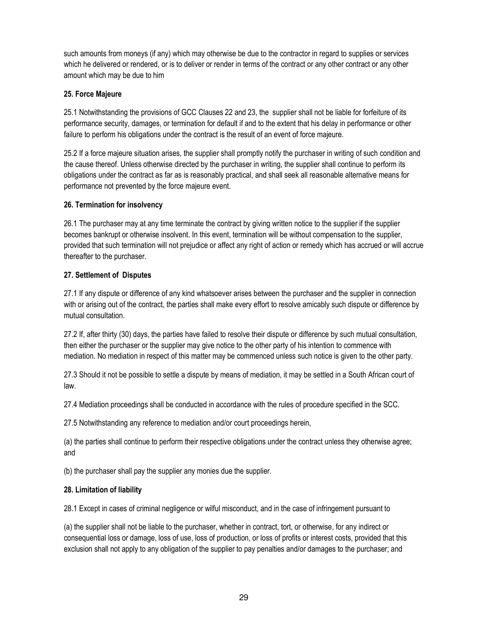such amounts from moneys (if any) which may otherwise be due to the contractor in regard to supplies or services which he delivered or rendered, or is to deliver or render in terms of the contract or any other contract or any other amount which may be due to him

#### 25. Force Majeure

25.1 Notwithstanding the provisions of GCC Clauses 22 and 23, the supplier shall not be liable for forfeiture of its performance security, damages, or termination for default if and to the extent that his delay in performance or other failure to perform his obligations under the contract is the result of an event of force majeure.

25.2 If a force majeure situation arises, the supplier shall promptly notify the purchaser in writing of such condition and the cause thereof. Unless otherwise directed by the purchaser in writing, the supplier shall continue to perform its obligations under the contract as far as is reasonably practical, and shall seek all reasonable alternative means for performance not prevented by the force majeure event.

### 26. Termination for insolvency

26.1 The purchaser may at any time terminate the contract by giving written notice to the supplier if the supplier becomes bankrupt or otherwise insolvent. In this event, termination will be without compensation to the supplier, provided that such termination will not prejudice or affect any right of action or remedy which has accrued or will accrue thereafter to the purchaser.

### 27. Settlement of Disputes

27.1 If any dispute or difference of any kind whatsoever arises between the purchaser and the supplier in connection with or arising out of the contract, the parties shall make every effort to resolve amicably such dispute or difference by mutual consultation.

27.2 If, after thirty (30) days, the parties have failed to resolve their dispute or difference by such mutual consultation, then either the purchaser or the supplier may give notice to the other party of his intention to commence with mediation. No mediation in respect of this matter may be commenced unless such notice is given to the other party.

27.3 Should it not be possible to settle a dispute by means of mediation, it may be settled in a South African court of law.

27.4 Mediation proceedings shall be conducted in accordance with the rules of procedure specified in the SCC.

27.5 Notwithstanding any reference to mediation and/or court proceedings herein,

(a) the parties shall continue to perform their respective obligations under the contract unless they otherwise agree; and

(b) the purchaser shall pay the supplier any monies due the supplier.

#### 28. Limitation of liability

28.1 Except in cases of criminal negligence or wilful misconduct, and in the case of infringement pursuant to

(a) the supplier shall not be liable to the purchaser, whether in contract, tort, or otherwise, for any indirect or consequential loss or damage, loss of use, loss of production, or loss of profits or interest costs, provided that this exclusion shall not apply to any obligation of the supplier to pay penalties and/or damages to the purchaser; and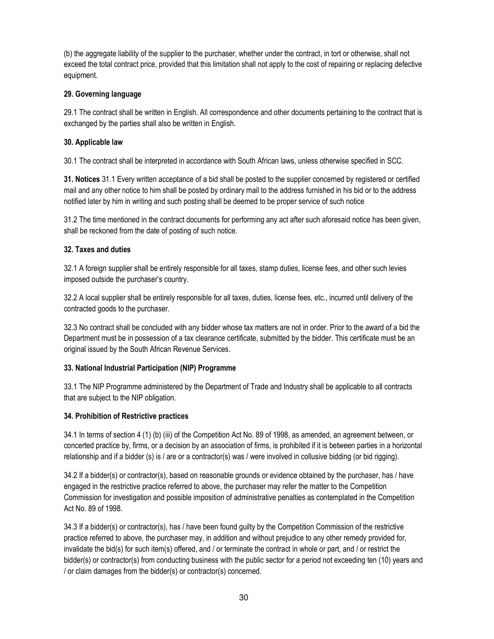(b) the aggregate liability of the supplier to the purchaser, whether under the contract, in tort or otherwise, shall not exceed the total contract price, provided that this limitation shall not apply to the cost of repairing or replacing defective equipment.

#### 29. Governing language

29.1 The contract shall be written in English. All correspondence and other documents pertaining to the contract that is exchanged by the parties shall also be written in English.

### 30. Applicable law

30.1 The contract shall be interpreted in accordance with South African laws, unless otherwise specified in SCC.

31. Notices 31.1 Every written acceptance of a bid shall be posted to the supplier concerned by registered or certified mail and any other notice to him shall be posted by ordinary mail to the address furnished in his bid or to the address notified later by him in writing and such posting shall be deemed to be proper service of such notice

31.2 The time mentioned in the contract documents for performing any act after such aforesaid notice has been given, shall be reckoned from the date of posting of such notice.

### 32. Taxes and duties

32.1 A foreign supplier shall be entirely responsible for all taxes, stamp duties, license fees, and other such levies imposed outside the purchaser's country.

32.2 A local supplier shall be entirely responsible for all taxes, duties, license fees, etc., incurred until delivery of the contracted goods to the purchaser.

32.3 No contract shall be concluded with any bidder whose tax matters are not in order. Prior to the award of a bid the Department must be in possession of a tax clearance certificate, submitted by the bidder. This certificate must be an original issued by the South African Revenue Services.

# 33. National Industrial Participation (NIP) Programme

33.1 The NIP Programme administered by the Department of Trade and Industry shall be applicable to all contracts that are subject to the NIP obligation.

#### 34. Prohibition of Restrictive practices

34.1 In terms of section 4 (1) (b) (iii) of the Competition Act No. 89 of 1998, as amended, an agreement between, or concerted practice by, firms, or a decision by an association of firms, is prohibited if it is between parties in a horizontal relationship and if a bidder (s) is / are or a contractor(s) was / were involved in collusive bidding (or bid rigging).

34.2 If a bidder(s) or contractor(s), based on reasonable grounds or evidence obtained by the purchaser, has / have engaged in the restrictive practice referred to above, the purchaser may refer the matter to the Competition Commission for investigation and possible imposition of administrative penalties as contemplated in the Competition Act No. 89 of 1998.

34.3 If a bidder(s) or contractor(s), has / have been found guilty by the Competition Commission of the restrictive practice referred to above, the purchaser may, in addition and without prejudice to any other remedy provided for, invalidate the bid(s) for such item(s) offered, and / or terminate the contract in whole or part, and / or restrict the bidder(s) or contractor(s) from conducting business with the public sector for a period not exceeding ten (10) years and / or claim damages from the bidder(s) or contractor(s) concerned.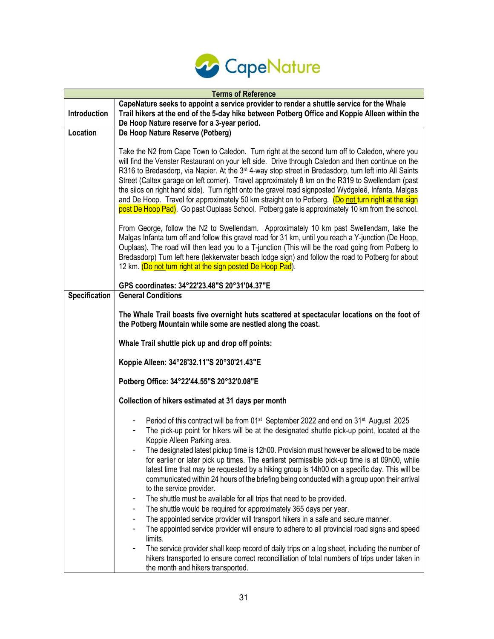

| <b>Terms of Reference</b> |                                                                                                                                                                                                                                                                                                                                                                                                                                                                                                                                                                                                                                                                                                                                               |  |  |  |
|---------------------------|-----------------------------------------------------------------------------------------------------------------------------------------------------------------------------------------------------------------------------------------------------------------------------------------------------------------------------------------------------------------------------------------------------------------------------------------------------------------------------------------------------------------------------------------------------------------------------------------------------------------------------------------------------------------------------------------------------------------------------------------------|--|--|--|
| Introduction              | CapeNature seeks to appoint a service provider to render a shuttle service for the Whale<br>Trail hikers at the end of the 5-day hike between Potberg Office and Koppie Alleen within the<br>De Hoop Nature reserve for a 3-year period.                                                                                                                                                                                                                                                                                                                                                                                                                                                                                                      |  |  |  |
| Location                  | De Hoop Nature Reserve (Potberg)                                                                                                                                                                                                                                                                                                                                                                                                                                                                                                                                                                                                                                                                                                              |  |  |  |
|                           | Take the N2 from Cape Town to Caledon. Turn right at the second turn off to Caledon, where you<br>will find the Venster Restaurant on your left side. Drive through Caledon and then continue on the<br>R316 to Bredasdorp, via Napier. At the 3 <sup>rd</sup> 4-way stop street in Bredasdorp, turn left into All Saints<br>Street (Caltex garage on left corner). Travel approximately 8 km on the R319 to Swellendam (past<br>the silos on right hand side). Turn right onto the gravel road signposted Wydgeleë, Infanta, Malgas<br>and De Hoop. Travel for approximately 50 km straight on to Potberg. (Do not turn right at the sign<br>post De Hoop Pad). Go past Ouplaas School. Potberg gate is approximately 10 km from the school. |  |  |  |
|                           | From George, follow the N2 to Swellendam. Approximately 10 km past Swellendam, take the<br>Malgas Infanta turn off and follow this gravel road for 31 km, until you reach a Y-junction (De Hoop,<br>Ouplaas). The road will then lead you to a T-junction (This will be the road going from Potberg to<br>Bredasdorp) Turn left here (lekkerwater beach lodge sign) and follow the road to Potberg for about<br>12 km. (Do not turn right at the sign posted De Hoop Pad).                                                                                                                                                                                                                                                                    |  |  |  |
|                           | GPS coordinates: 34°22'23.48"S 20°31'04.37"E                                                                                                                                                                                                                                                                                                                                                                                                                                                                                                                                                                                                                                                                                                  |  |  |  |
| <b>Specification</b>      | <b>General Conditions</b>                                                                                                                                                                                                                                                                                                                                                                                                                                                                                                                                                                                                                                                                                                                     |  |  |  |
|                           | The Whale Trail boasts five overnight huts scattered at spectacular locations on the foot of<br>the Potberg Mountain while some are nestled along the coast.                                                                                                                                                                                                                                                                                                                                                                                                                                                                                                                                                                                  |  |  |  |
|                           | Whale Trail shuttle pick up and drop off points:                                                                                                                                                                                                                                                                                                                                                                                                                                                                                                                                                                                                                                                                                              |  |  |  |
|                           | Koppie Alleen: 34°28'32.11"S 20°30'21.43"E                                                                                                                                                                                                                                                                                                                                                                                                                                                                                                                                                                                                                                                                                                    |  |  |  |
|                           | Potberg Office: 34°22'44.55"S 20°32'0.08"E                                                                                                                                                                                                                                                                                                                                                                                                                                                                                                                                                                                                                                                                                                    |  |  |  |
|                           | Collection of hikers estimated at 31 days per month                                                                                                                                                                                                                                                                                                                                                                                                                                                                                                                                                                                                                                                                                           |  |  |  |
|                           | Period of this contract will be from 01 <sup>st</sup> September 2022 and end on 31 <sup>st</sup> August 2025<br>The pick-up point for hikers will be at the designated shuttle pick-up point, located at the<br>Koppie Alleen Parking area.                                                                                                                                                                                                                                                                                                                                                                                                                                                                                                   |  |  |  |
|                           | The designated latest pickup time is 12h00. Provision must however be allowed to be made<br>for earlier or later pick up times. The earlierst permissible pick-up time is at 09h00, while<br>latest time that may be requested by a hiking group is 14h00 on a specific day. This will be<br>communicated within 24 hours of the briefing being conducted with a group upon their arrival<br>to the service provider.                                                                                                                                                                                                                                                                                                                         |  |  |  |
|                           | The shuttle must be available for all trips that need to be provided.                                                                                                                                                                                                                                                                                                                                                                                                                                                                                                                                                                                                                                                                         |  |  |  |
|                           | The shuttle would be required for approximately 365 days per year.<br>$\overline{\phantom{a}}$<br>The appointed service provider will transport hikers in a safe and secure manner.<br>۰                                                                                                                                                                                                                                                                                                                                                                                                                                                                                                                                                      |  |  |  |
|                           | The appointed service provider will ensure to adhere to all provincial road signs and speed<br>limits.                                                                                                                                                                                                                                                                                                                                                                                                                                                                                                                                                                                                                                        |  |  |  |
|                           | The service provider shall keep record of daily trips on a log sheet, including the number of<br>hikers transported to ensure correct reconcilliation of total numbers of trips under taken in<br>the month and hikers transported.                                                                                                                                                                                                                                                                                                                                                                                                                                                                                                           |  |  |  |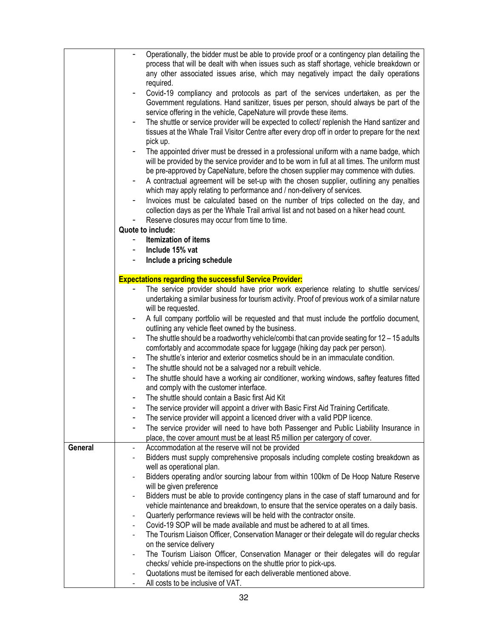|         | Operationally, the bidder must be able to provide proof or a contingency plan detailing the                  |
|---------|--------------------------------------------------------------------------------------------------------------|
|         | process that will be dealt with when issues such as staff shortage, vehicle breakdown or                     |
|         | any other associated issues arise, which may negatively impact the daily operations                          |
|         | required.                                                                                                    |
|         | Covid-19 compliancy and protocols as part of the services undertaken, as per the<br>$\overline{\phantom{a}}$ |
|         | Government regulations. Hand sanitizer, tisues per person, should always be part of the                      |
|         | service offering in the vehicle, CapeNature will provde these items.                                         |
|         | The shuttle or service provider will be expected to collect/ replenish the Hand santizer and<br>۰            |
|         | tissues at the Whale Trail Visitor Centre after every drop off in order to prepare for the next              |
|         | pick up.                                                                                                     |
|         | The appointed driver must be dressed in a professional uniform with a name badge, which                      |
|         |                                                                                                              |
|         | will be provided by the service provider and to be worn in full at all times. The uniform must               |
|         | be pre-approved by CapeNature, before the chosen supplier may commence with duties.                          |
|         | A contractual agreement will be set-up with the chosen supplier, outlining any penalties                     |
|         | which may apply relating to performance and / non-delivery of services.                                      |
|         | Invoices must be calculated based on the number of trips collected on the day, and                           |
|         | collection days as per the Whale Trail arrival list and not based on a hiker head count.                     |
|         | Reserve closures may occur from time to time.                                                                |
|         | Quote to include:                                                                                            |
|         | <b>Itemization of items</b>                                                                                  |
|         | Include 15% vat                                                                                              |
|         | Include a pricing schedule                                                                                   |
|         |                                                                                                              |
|         | <b>Expectations regarding the successful Service Provider:</b>                                               |
|         | The service provider should have prior work experience relating to shuttle services/                         |
|         | undertaking a similar business for tourism activity. Proof of previous work of a similar nature              |
|         | will be requested.                                                                                           |
|         | A full company portfolio will be requested and that must include the portfolio document,                     |
|         | outlining any vehicle fleet owned by the business.                                                           |
|         | The shuttle should be a roadworthy vehicle/combi that can provide seating for $12 - 15$ adults               |
|         | comfortably and accommodate space for luggage (hiking day pack per person).                                  |
|         | The shuttle's interior and exterior cosmetics should be in an immaculate condition.                          |
|         | The shuttle should not be a salvaged nor a rebuilt vehicle.<br>٠                                             |
|         | The shuttle should have a working air conditioner, working windows, saftey features fitted<br>-              |
|         | and comply with the customer interface.                                                                      |
|         | The shuttle should contain a Basic first Aid Kit                                                             |
|         |                                                                                                              |
|         | The service provider will appoint a driver with Basic First Aid Training Certificate                         |
|         | The service provider will appoint a licenced driver with a valid PDP licence.                                |
|         | The service provider will need to have both Passenger and Public Liability Insurance in                      |
|         | place, the cover amount must be at least R5 million per catergory of cover.                                  |
| General | Accommodation at the reserve will not be provided                                                            |
|         | Bidders must supply comprehensive proposals including complete costing breakdown as                          |
|         | well as operational plan.                                                                                    |
|         | Bidders operating and/or sourcing labour from within 100km of De Hoop Nature Reserve                         |
|         | will be given preference                                                                                     |
|         | Bidders must be able to provide contingency plans in the case of staff turnaround and for                    |
|         | vehicle maintenance and breakdown, to ensure that the service operates on a daily basis.                     |
|         | Quarterly performance reviews will be held with the contractor onsite.                                       |
|         | Covid-19 SOP will be made available and must be adhered to at all times.                                     |
|         | The Tourism Liaison Officer, Conservation Manager or their delegate will do regular checks                   |
|         | on the service delivery                                                                                      |
|         | The Tourism Liaison Officer, Conservation Manager or their delegates will do regular                         |
|         | checks/ vehicle pre-inspections on the shuttle prior to pick-ups.                                            |
|         | Quotations must be itemised for each deliverable mentioned above.                                            |
|         | All costs to be inclusive of VAT.                                                                            |